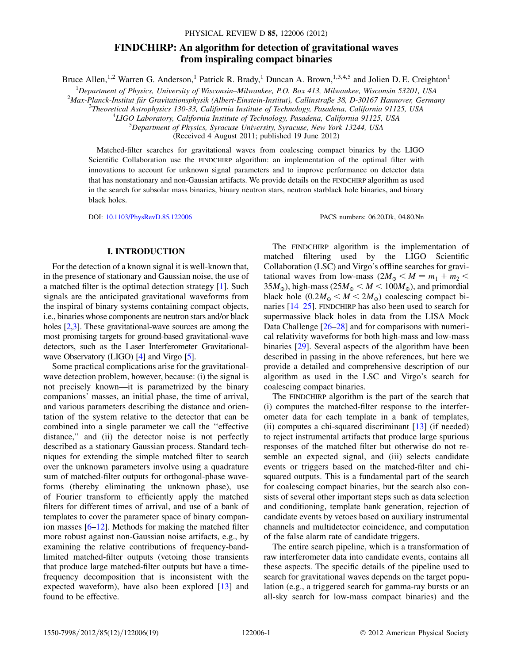# FINDCHIRP: An algorithm for detection of gravitational waves from inspiraling compact binaries

Bruce Allen,<sup>1,2</sup> Warren G. Anderson,<sup>1</sup> Patrick R. Brady,<sup>1</sup> Duncan A. Brown,<sup>1,3,4,5</sup> and Jolien D. E. Creighton<sup>1</sup>

<sup>1</sup>Department of Physics, University of Wisconsin–Milwaukee, P.O. Box 413, Milwaukee, Wisconsin 53201, USA<br><sup>2</sup>Max Planck Institut für Grovitationsphysik (Albert Einstein Institut), Callinstraße 38, D. 30167 Hannover Germa

 ${}^{2}$ Max-Planck-Institut für Gravitationsphysik (Albert-Einstein-Institut), Callinstraße 38, D-30167 Hannover, Germany

 $3$ Theoretical Astrophysics 130-33, California Institute of Technology, Pasadena, California 91125, USA

<sup>4</sup>LIGO Laboratory, California Institute of Technology, Pasadena, California 91125, USA

 ${}^{5}$ Department of Physics, Syracuse University, Syracuse, New York 13244, USA

(Received 4 August 2011; published 19 June 2012)

Matched-filter searches for gravitational waves from coalescing compact binaries by the LIGO Scientific Collaboration use the FINDCHIRP algorithm: an implementation of the optimal filter with innovations to account for unknown signal parameters and to improve performance on detector data that has nonstationary and non-Gaussian artifacts. We provide details on the FINDCHIRP algorithm as used in the search for subsolar mass binaries, binary neutron stars, neutron starblack hole binaries, and binary black holes.

DOI: [10.1103/PhysRevD.85.122006](http://dx.doi.org/10.1103/PhysRevD.85.122006) PACS numbers: 06.20.Dk, 04.80.Nn

## I. INTRODUCTION

For the detection of a known signal it is well-known that, in the presence of stationary and Gaussian noise, the use of a matched filter is the optimal detection strategy [[1](#page-17-0)]. Such signals are the anticipated gravitational waveforms from the inspiral of binary systems containing compact objects, i.e., binaries whose components are neutron stars and/or black holes [\[2](#page-17-1)[,3\]](#page-17-2). These gravitational-wave sources are among the most promising targets for ground-based gravitational-wave detectors, such as the Laser Interferometer Gravitationalwave Observatory (LIGO) [\[4](#page-17-3)] and Virgo [\[5](#page-17-4)].

Some practical complications arise for the gravitationalwave detection problem, however, because: (i) the signal is not precisely known—it is parametrized by the binary companions' masses, an initial phase, the time of arrival, and various parameters describing the distance and orientation of the system relative to the detector that can be combined into a single parameter we call the ''effective distance,'' and (ii) the detector noise is not perfectly described as a stationary Gaussian process. Standard techniques for extending the simple matched filter to search over the unknown parameters involve using a quadrature sum of matched-filter outputs for orthogonal-phase waveforms (thereby eliminating the unknown phase), use of Fourier transform to efficiently apply the matched filters for different times of arrival, and use of a bank of templates to cover the parameter space of binary companion masses  $[6–12]$  $[6–12]$  $[6–12]$  $[6–12]$ . Methods for making the matched filter more robust against non-Gaussian noise artifacts, e.g., by examining the relative contributions of frequency-bandlimited matched-filter outputs (vetoing those transients that produce large matched-filter outputs but have a timefrequency decomposition that is inconsistent with the expected waveform), have also been explored [\[13\]](#page-17-7) and found to be effective.

The FINDCHIRP algorithm is the implementation of matched filtering used by the LIGO Scientific Collaboration (LSC) and Virgo's offline searches for gravitational waves from low-mass  $(2M_{\odot} < M = m_1 + m_2 <$  $35M_{\odot}$ ), high-mass ( $25M_{\odot} < M < 100M_{\odot}$ ), and primordial black hole  $(0.2M<sub>o</sub> < M < 2M<sub>o</sub>)$  coalescing compact binaries [\[14–](#page-17-8)[25](#page-17-9)]. FINDCHIRP has also been used to search for supermassive black holes in data from the LISA Mock Data Challenge [[26](#page-17-10)[–28\]](#page-17-11) and for comparisons with numerical relativity waveforms for both high-mass and low-mass binaries [\[29\]](#page-17-12). Several aspects of the algorithm have been described in passing in the above references, but here we provide a detailed and comprehensive description of our algorithm as used in the LSC and Virgo's search for coalescing compact binaries.

The FINDCHIRP algorithm is the part of the search that (i) computes the matched-filter response to the interferometer data for each template in a bank of templates, (ii) computes a chi-squared discriminant [[13](#page-17-7)] (if needed) to reject instrumental artifacts that produce large spurious responses of the matched filter but otherwise do not resemble an expected signal, and (iii) selects candidate events or triggers based on the matched-filter and chisquared outputs. This is a fundamental part of the search for coalescing compact binaries, but the search also consists of several other important steps such as data selection and conditioning, template bank generation, rejection of candidate events by vetoes based on auxiliary instrumental channels and multidetector coincidence, and computation of the false alarm rate of candidate triggers.

The entire search pipeline, which is a transformation of raw interferometer data into candidate events, contains all these aspects. The specific details of the pipeline used to search for gravitational waves depends on the target population (e.g., a triggered search for gamma-ray bursts or an all-sky search for low-mass compact binaries) and the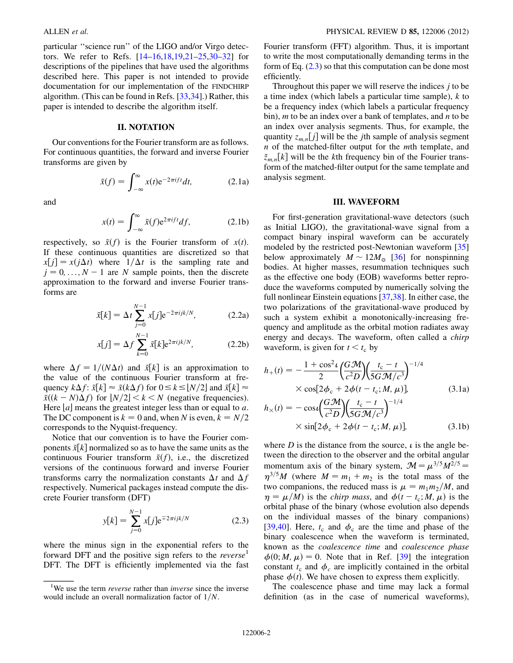particular ''science run'' of the LIGO and/or Virgo detectors. We refer to Refs. [[14](#page-17-8)–[16](#page-17-13),[18](#page-17-14),[19](#page-17-15),[21](#page-17-16)[–25,](#page-17-9)[30](#page-17-17)[–32\]](#page-17-18) for descriptions of the pipelines that have used the algorithms described here. This paper is not intended to provide documentation for our implementation of the FINDCHIRP algorithm. (This can be found in Refs. [\[33](#page-17-19)[,34\]](#page-17-20).) Rather, this paper is intended to describe the algorithm itself.

## II. NOTATION

Our conventions for the Fourier transform are as follows. For continuous quantities, the forward and inverse Fourier transforms are given by

$$
\tilde{x}(f) = \int_{-\infty}^{\infty} x(t)e^{-2\pi i f t} dt,
$$
 (2.1a)

and

$$
x(t) = \int_{-\infty}^{\infty} \tilde{x}(f) e^{2\pi i f t} df,
$$
 (2.1b)

respectively, so  $\tilde{x}(f)$  is the Fourier transform of  $x(t)$ . If these continuous quantities are discretized so that  $x[j] = x(j\Delta t)$  where  $1/\Delta t$  is the sampling rate and  $j = 0, \ldots, N - 1$  are N sample points, then the discrete<br>approximation to the forward and inverse Fourier transapproximation to the forward and inverse Fourier transforms are

$$
\tilde{x}[k] = \Delta t \sum_{j=0}^{N-1} x[j] e^{-2\pi i jk/N},
$$
 (2.2a)

$$
x[j] = \Delta f \sum_{k=0}^{N-1} \tilde{x}[k] e^{2\pi i j k/N},
$$
 (2.2b)

where  $\Delta f = 1/(N\Delta t)$  and  $\tilde{x}[k]$  is an approximation to the value of the continuous Fourier transform at frequency  $k\Delta f: \tilde{x}[k] \approx \tilde{x}(k\Delta f)$  for  $0 \le k \le |N/2|$  and  $\tilde{x}[k] \approx$  $\tilde{x}((k-N)\Delta f)$  for  $\lfloor N/2 \rfloor < k < N$  (negative frequencies).<br>Here  $\lfloor a \rfloor$  means the greatest integer less than or equal to q. Here  $[a]$  means the greatest integer less than or equal to a. The DC component is  $k = 0$  and, when N is even,  $k = N/2$ corresponds to the Nyquist-frequency.

Notice that our convention is to have the Fourier components  $\tilde{x}[k]$  normalized so as to have the same units as the continuous Fourier transform  $\tilde{x}(f)$ , i.e., the discretized versions of the continuous forward and inverse Fourier transforms carry the normalization constants  $\Delta t$  and  $\Delta f$ respectively. Numerical packages instead compute the discrete Fourier transform (DFT)

$$
y[k] = \sum_{j=0}^{N-1} x[j] e^{\mp 2\pi i jk/N}
$$
 (2.3)

<span id="page-1-0"></span>where the minus sign in the exponential refers to the forward DFT and the positive sign refers to the  $reverse<sup>1</sup>$ DFT. The DFT is efficiently implemented via the fast Fourier transform (FFT) algorithm. Thus, it is important to write the most computationally demanding terms in the form of Eq.  $(2.3)$  so that this computation can be done most efficiently.

Throughout this paper we will reserve the indices  $j$  to be a time index (which labels a particular time sample),  $k$  to be a frequency index (which labels a particular frequency bin), m to be an index over a bank of templates, and  $n$  to be an index over analysis segments. Thus, for example, the quantity  $z_{m,n}[j]$  will be the *j*th sample of analysis segment  $n$  of the matched-filter output for the  $m$ th template, and  $\tilde{z}_{m,n}[k]$  will be the kth frequency bin of the Fourier transform of the matched-filter output for the same template and analysis segment.

## III. WAVEFORM

<span id="page-1-1"></span>For first-generation gravitational-wave detectors (such as Initial LIGO), the gravitational-wave signal from a compact binary inspiral waveform can be accurately modeled by the restricted post-Newtonian waveform [\[35\]](#page-17-21) below approximately  $M \sim 12M_{\odot}$  [\[36\]](#page-17-22) for nonspinning bodies. At higher masses, resummation techniques such as the effective one body (EOB) waveforms better reproduce the waveforms computed by numerically solving the full nonlinear Einstein equations [[37](#page-17-23),[38](#page-17-24)]. In either case, the two polarizations of the gravitational-wave produced by such a system exhibit a monotonically-increasing frequency and amplitude as the orbital motion radiates away energy and decays. The waveform, often called a chirp waveform, is given for  $t < t_c$  by

$$
h_{+}(t) = -\frac{1 + \cos^{2} \iota}{2} \left(\frac{G M}{c^{2} D}\right) \left(\frac{t_{c} - t}{5 G M/c^{3}}\right)^{-1/4}
$$
  
×  $\cos[2\phi_{c} + 2\phi(t - t_{c}; M, \mu)]$ , (3.1a)

$$
h_{\times}(t) = -\cos\iota \left(\frac{G\mathcal{M}}{c^2 D}\right) \left(\frac{t_{\rm c} - t}{5 G\mathcal{M}/c^3}\right)^{-1/4}
$$
  
 
$$
\times \sin[2\phi_{\rm c} + 2\phi(t - t_{\rm c}; M, \mu)], \tag{3.1b}
$$

where  $D$  is the distance from the source,  $\iota$  is the angle between the direction to the observer and the orbital angular momentum axis of the binary system,  $\mathcal{M} = \mu^{3/5} M^{2/5} =$  $\eta^{3/5}M$  (where  $M = m_1 + m_2$  is the total mass of the two companions, the reduced mass is  $\mu = m_1m_2/M$ , and  $\eta = \mu/M$ ) is the *chirp mass*, and  $\phi(t - t_c; M, \mu)$  is the orbital phase of the binary (whose evolution also depends orbital phase of the binary (whose evolution also depends on the individual masses of the binary companions) [\[39](#page-17-25)[,40\]](#page-17-26). Here,  $t_c$  and  $\phi_c$  are the time and phase of the binary coalescence when the waveform is terminated, known as the coalescence time and coalescence phase  $\phi(0; M, \mu) = 0$ . Note that in Ref. [[39](#page-17-25)] the integration constant  $t_c$  and  $\phi_c$  are implicitly contained in the orbital phase  $\phi(t)$ . We have chosen to express them explicitly.

The coalescence phase and time may lack a formal definition (as in the case of numerical waveforms),

<sup>&</sup>lt;sup>1</sup>We use the term *reverse* rather than *inverse* since the inverse would include an overall normalization factor of  $1/N$ .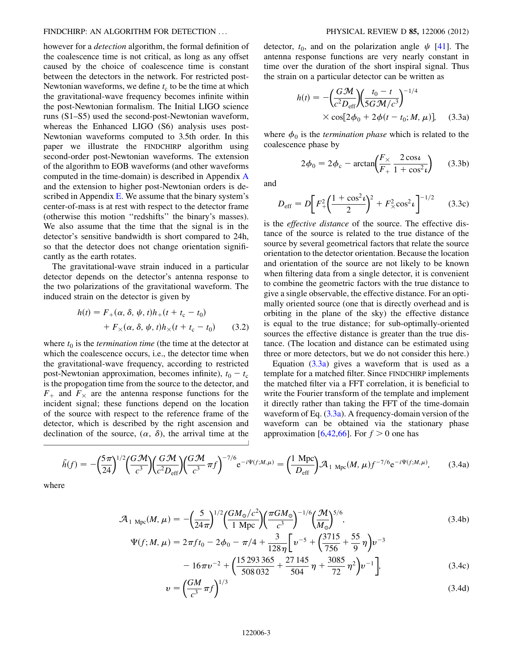however for a detection algorithm, the formal definition of the coalescence time is not critical, as long as any offset caused by the choice of coalescence time is constant between the detectors in the network. For restricted post-Newtonian waveforms, we define  $t_c$  to be the time at which the gravitational-wave frequency becomes infinite within the post-Newtonian formalism. The Initial LIGO science runs (S1–S5) used the second-post-Newtonian waveform, whereas the Enhanced LIGO (S6) analysis uses post-Newtonian waveforms computed to 3.5th order. In this paper we illustrate the FINDCHIRP algorithm using second-order post-Newtonian waveforms. The extension of the algorithm to EOB waveforms (and other waveforms computed in the time-domain) is described in Appendix [A](#page-13-0) and the extension to higher post-Newtonian orders is de-scribed in Appendix [E.](#page-16-0) We assume that the binary system's center-of-mass is at rest with respect to the detector frame (otherwise this motion ''redshifts'' the binary's masses). We also assume that the time that the signal is in the detector's sensitive bandwidth is short compared to 24h, so that the detector does not change orientation significantly as the earth rotates.

The gravitational-wave strain induced in a particular detector depends on the detector's antenna response to the two polarizations of the gravitational waveform. The induced strain on the detector is given by

$$
h(t) = F_{+}(\alpha, \delta, \psi, t)h_{+}(t + t_{c} - t_{0})
$$

$$
+ F_{\times}(\alpha, \delta, \psi, t)h_{\times}(t + t_{c} - t_{0}) \qquad (3.2)
$$

where  $t_0$  is the *termination time* (the time at the detector at which the coalescence occurs, i.e., the detector time when the gravitational-wave frequency, according to restricted post-Newtonian approximation, becomes infinite),  $t_0 - t_c$ <br>is the propogation time from the source to the detector and is the propogation time from the source to the detector, and  $F_{+}$  and  $F_{\times}$  are the antenna response functions for the incident signal; these functions depend on the location of the source with respect to the reference frame of the detector, which is described by the right ascension and declination of the source,  $(\alpha, \delta)$ , the arrival time at the detector,  $t_0$ , and on the polarization angle  $\psi$  [\[41\]](#page-17-27). The antenna response functions are very nearly constant in time over the duration of the short inspiral signal. Thus the strain on a particular detector can be written as

<span id="page-2-0"></span>
$$
h(t) = -\left(\frac{G\mathcal{M}}{c^2 D_{\text{eff}}}\right) \left(\frac{t_0 - t}{5G\mathcal{M}/c^3}\right)^{-1/4}
$$
  
× cos[2\phi\_0 + 2\phi(t - t\_0; M, \mu)], (3.3a)

where  $\phi_0$  is the *termination phase* which is related to the coalescence phase by

$$
2\phi_0 = 2\phi_c - \arctan\left(\frac{F_\times}{F_+} \frac{2\cos\iota}{1 + \cos^2\iota}\right) \tag{3.3b}
$$

and

$$
D_{\rm eff} = D \bigg[ F_+^2 \bigg( \frac{1 + \cos^2 t}{2} \bigg)^2 + F_\times^2 \cos^2 t \bigg]^{-1/2} \qquad (3.3c)
$$

is the effective distance of the source. The effective distance of the source is related to the true distance of the source by several geometrical factors that relate the source orientation to the detector orientation. Because the location and orientation of the source are not likely to be known when filtering data from a single detector, it is convenient to combine the geometric factors with the true distance to give a single observable, the effective distance. For an optimally oriented source (one that is directly overhead and is orbiting in the plane of the sky) the effective distance is equal to the true distance; for sub-optimally-oriented sources the effective distance is greater than the true distance. (The location and distance can be estimated using three or more detectors, but we do not consider this here.)

Equation  $(3.3a)$  $(3.3a)$  gives a waveform that is used as a template for a matched filter. Since FINDCHIRP implements the matched filter via a FFT correlation, it is beneficial to write the Fourier transform of the template and implement it directly rather than taking the FFT of the time-domain waveform of Eq. [\(3.3a](#page-2-0)). A frequency-domain version of the waveform can be obtained via the stationary phase approximation [[6,](#page-17-5)[42,](#page-17-28)[66](#page-18-0)]. For  $f > 0$  one has

<span id="page-2-2"></span>
$$
\tilde{h}(f) = -\left(\frac{5\pi}{24}\right)^{1/2} \left(\frac{GM}{c^3}\right) \left(\frac{GM}{c^2 D_{\text{eff}}}\right) \left(\frac{GM}{c^3}\pi f\right)^{-7/6} e^{-i\Psi(f;M,\mu)} = \left(\frac{1 \text{ Mpc}}{D_{\text{eff}}}\right) \mathcal{A}_{1 \text{ Mpc}}(M,\mu) f^{-7/6} e^{-i\Psi(f;M,\mu)},\tag{3.4a}
$$

<span id="page-2-1"></span>where

$$
\mathcal{A}_{1 \text{ Mpc}}(M,\mu) = -\left(\frac{5}{24\pi}\right)^{1/2} \left(\frac{GM_{\odot}/c^2}{1 \text{ Mpc}}\right) \left(\frac{\pi GM_{\odot}}{c^3}\right)^{-1/6} \left(\frac{\mathcal{M}}{M_{\odot}}\right)^{5/6},
$$
\n
$$
\Psi(f;M,\mu) = 2\pi ft_0 - 2\phi_0 - \pi/4 + \frac{3}{128}\left[\nu^{-5} + \left(\frac{3715}{256} + \frac{55}{2}\eta\right)\nu^{-3}\right]
$$
\n(3.4b)

$$
(f; M, \mu) = 2\pi f t_0 - 2\phi_0 - \pi/4 + \frac{3}{128\eta} \left[ v^{-5} + \left( \frac{3713}{756} + \frac{39}{9} \eta \right) v^{-3} - 16\pi v^{-2} + \left( \frac{15293365}{508032} + \frac{27145}{504} \eta + \frac{3085}{72} \eta^2 \right) v^{-1} \right],
$$
(3.4c)

$$
v = \left(\frac{GM}{c^3}\pi f\right)^{1/3} \tag{3.4d}
$$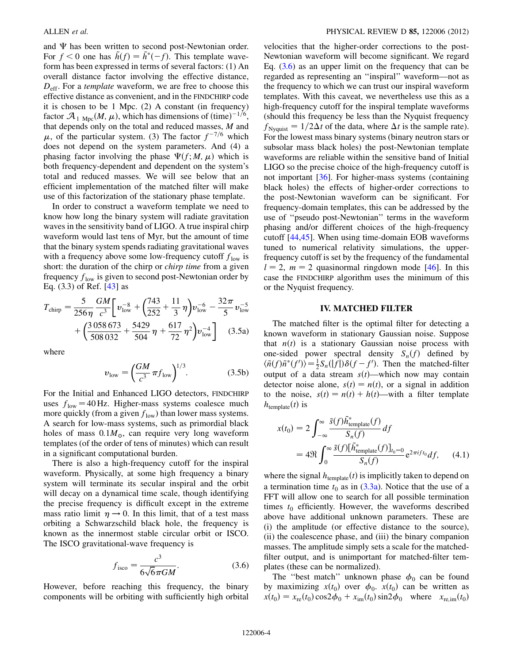and  $\Psi$  has been written to second post-Newtonian order. For  $f < 0$  one has  $\tilde{h}(f) = \tilde{h}^*(-f)$ . This template wave-<br>form has been expressed in terms of several factors: (1) An form has been expressed in terms of several factors: (1) An overall distance factor involving the effective distance,  $D_{\text{eff}}$ . For a *template* waveform, we are free to choose this effective distance as convenient, and in the FINDCHIRP code it is chosen to be 1 Mpc. (2) A constant (in frequency) factor  $\mathcal{A}_{1 \text{ Mpc}}(M, \mu)$ , which has dimensions of  $(\text{time})^{-1/6}$ ,<br>that depends only on the total and reduced masses M and that depends only on the total and reduced masses,  $M$  and  $\mu$ , of the particular system. (3) The factor  $f^{-7/6}$  which does not depend on the system parameters. And (4) a phasing factor involving the phase  $\Psi(f; M, \mu)$  which is<br>both frequency-dependent and dependent on the system's both frequency-dependent and dependent on the system's total and reduced masses. We will see below that an efficient implementation of the matched filter will make use of this factorization of the stationary phase template.

In order to construct a waveform template we need to know how long the binary system will radiate gravitation waves in the sensitivity band of LIGO. A true inspiral chirp waveform would last tens of Myr, but the amount of time that the binary system spends radiating gravitational waves with a frequency above some low-frequency cutoff  $f_{low}$  is short: the duration of the chirp or *chirp time* from a given frequency  $f_{\text{low}}$  is given to second post-Newtonian order by Eq. (3.3) of Ref. [[43](#page-17-29)] as

<span id="page-3-2"></span>
$$
T_{\text{chirp}} = \frac{5}{256\eta} \frac{GM}{c^3} \left[ \nu_{\text{low}}^{-8} + \left( \frac{743}{252} + \frac{11}{3} \eta \right) \nu_{\text{low}}^{-6} - \frac{32\pi}{5} \nu_{\text{low}}^{-5} + \left( \frac{3058673}{508032} + \frac{5429}{504} \eta + \frac{617}{72} \eta^2 \right) \nu_{\text{low}}^{-4} \right] \quad (3.5a)
$$

where

$$
v_{\text{low}} = \left(\frac{GM}{c^3} \pi f_{\text{low}}\right)^{1/3}.\tag{3.5b}
$$

For the Initial and Enhanced LIGO detectors, FINDCHIRP uses  $f_{\text{low}} = 40$  Hz. Higher-mass systems coalesce much more quickly (from a given  $f_{low}$ ) than lower mass systems. A search for low-mass systems, such as primordial black holes of mass  $0.1M_{\odot}$ , can require very long waveform templates (of the order of tens of minutes) which can result in a significant computational burden.

There is also a high-frequency cutoff for the inspiral waveform. Physically, at some high frequency a binary system will terminate its secular inspiral and the orbit will decay on a dynamical time scale, though identifying the precise frequency is difficult except in the extreme mass ratio limit  $\eta \rightarrow 0$ . In this limit, that of a test mass orbiting a Schwarzschild black hole, the frequency is known as the innermost stable circular orbit or ISCO. The ISCO gravitational-wave frequency is

$$
f_{\text{isco}} = \frac{c^3}{6\sqrt{6}\pi GM}.\tag{3.6}
$$

<span id="page-3-0"></span>However, before reaching this frequency, the binary components will be orbiting with sufficiently high orbital velocities that the higher-order corrections to the post-Newtonian waveform will become significant. We regard Eq.  $(3.6)$  $(3.6)$  $(3.6)$  as an upper limit on the frequency that can be regarded as representing an ''inspiral'' waveform—not as the frequency to which we can trust our inspiral waveform templates. With this caveat, we nevertheless use this as a high-frequency cutoff for the inspiral template waveforms (should this frequency be less than the Nyquist frequency  $f_{\text{Nyquist}} = 1/2\Delta t$  of the data, where  $\Delta t$  is the sample rate). For the lowest mass binary systems (binary neutron stars or subsolar mass black holes) the post-Newtonian template waveforms are reliable within the sensitive band of Initial LIGO so the precise choice of the high-frequency cutoff is not important [[36](#page-17-22)]. For higher-mass systems (containing black holes) the effects of higher-order corrections to the post-Newtonian waveform can be significant. For frequency-domain templates, this can be addressed by the use of ''pseudo post-Newtonian'' terms in the waveform phasing and/or different choices of the high-frequency cutoff [\[44](#page-17-30)[,45\]](#page-17-31). When using time-domain EOB waveforms tuned to numerical relativity simulations, the upperfrequency cutoff is set by the frequency of the fundamental  $l = 2$ ,  $m = 2$  quasinormal ringdown mode [\[46\]](#page-17-32). In this case the FINDCHIRP algorithm uses the minimum of this or the Nyquist frequency.

# IV. MATCHED FILTER

The matched filter is the optimal filter for detecting a known waveform in stationary Gaussian noise. Suppose that  $n(t)$  is a stationary Gaussian noise process with one-sided power spectral density  $S_n(f)$  defined by  $\langle \tilde{n}(f) \tilde{n}^*(f') \rangle = \frac{1}{2} S_n(|f|) \delta(f - f')$ . Then the matched-filter output of a data stream s(t) which now may contain output of a data stream  $s(t)$ —which now may contain detector noise alone,  $s(t) = n(t)$ , or a signal in addition to the noise,  $s(t) = n(t) + h(t)$ —with a filter template  $h_{\text{template}}(t)$  is

<span id="page-3-1"></span>
$$
x(t_0) = 2 \int_{-\infty}^{\infty} \frac{\tilde{s}(f)\tilde{h}_{\text{template}}^*(f)}{S_n(f)} df
$$
  
= 4\Re \int\_{0}^{\infty} \frac{\tilde{s}(f)[\tilde{h}\_{\text{template}}^\*(f)]\_{t\_0=0}}{S\_n(f)} e^{2\pi i ft\_0} df, \quad (4.1)

where the signal  $h_{\text{template}}(t)$  is implicitly taken to depend on a termination time  $t_0$  as in ([3.3a\)](#page-2-0). Notice that the use of a FFT will allow one to search for all possible termination times  $t_0$  efficiently. However, the waveforms described above have additional unknown parameters. These are (i) the amplitude (or effective distance to the source), (ii) the coalescence phase, and (iii) the binary companion masses. The amplitude simply sets a scale for the matchedfilter output, and is unimportant for matched-filter templates (these can be normalized).

The "best match" unknown phase  $\phi_0$  can be found by maximizing  $x(t_0)$  over  $\phi_0$ .  $x(t_0)$  can be written as  $x(t_0) = x_{\text{re}}(t_0)\cos 2\phi_0 + x_{\text{im}}(t_0)\sin 2\phi_0$  where  $x_{\text{re},\text{im}}(t_0)$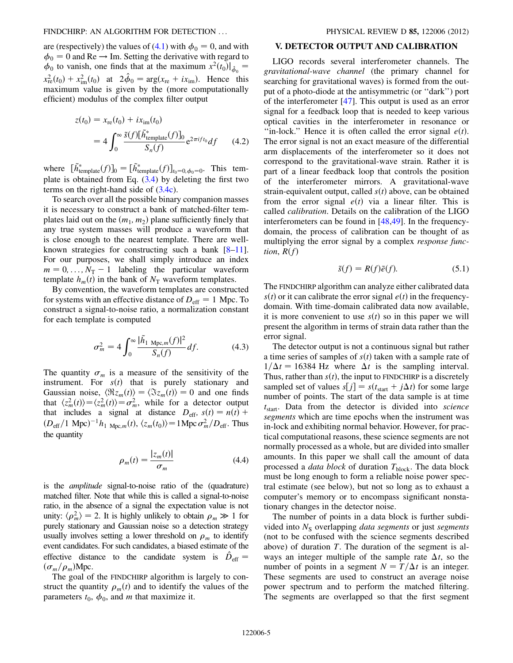are (respectively) the values of ([4.1](#page-3-1)) with  $\phi_0 = 0$ , and with  $\phi_0 = 0$  and Re  $\rightarrow$  Im. Setting the derivative with regard to  $\phi_0$  to vanish, one finds that at the maximum  $x^2(t_0)|_{\hat{\phi}_0} =$  $x_{\rm re}^{2}(t_0) + x_{\rm im}^{2}(t_0)$  at  $2\hat{\phi}_0 = \arg(x_{\rm re} + ix_{\rm im})$ . Hence this<br>maximum value is given by the (more computationally maximum value is given by the (more computationally efficient) modulus of the complex filter output

<span id="page-4-0"></span>
$$
z(t_0) = x_{\rm re}(t_0) + ix_{\rm im}(t_0)
$$
  
= 
$$
4 \int_0^\infty \frac{\tilde{s}(f)[\tilde{h}_{\rm template}^*(f)]_0}{S_n(f)} e^{2\pi i f t_0} df
$$
 (4.2)

where  $[\tilde{h}^*_{\text{template}}(f)]_0 = [\tilde{h}^*_{\text{template}}(f)]_{t_0=0, \phi_0=0}$ . This template is obtained from Eq.  $(3.4)$  $(3.4)$  $(3.4)$  by deleting the first two terms on the right-hand side of [\(3.4c\)](#page-2-1).

To search over all the possible binary companion masses it is necessary to construct a bank of matched-filter templates laid out on the  $(m_1, m_2)$  plane sufficiently finely that any true system masses will produce a waveform that is close enough to the nearest template. There are wellknown strategies for constructing such a bank  $[8-11]$  $[8-11]$ . For our purposes, we shall simply introduce an index  $m = 0, \ldots, N<sub>T</sub> - 1$  labeling the particular waveform<br>template h (t) in the bank of  $N<sub>T</sub>$  waveform templates template  $h_m(t)$  in the bank of  $N_T$  waveform templates.

By convention, the waveform templates are constructed for systems with an effective distance of  $D_{\text{eff}} = 1$  Mpc. To construct a signal-to-noise ratio, a normalization constant for each template is computed

$$
\sigma_m^2 = 4 \int_0^\infty \frac{|\tilde{h}_1|_{\text{Mpc},m}(f)|^2}{S_n(f)} df. \tag{4.3}
$$

The quantity  $\sigma_m$  is a measure of the sensitivity of the instrument. For  $s(t)$  that is purely stationary and Gaussian noise,  $\langle \Re z_m(t) \rangle = \langle \Im z_m(t) \rangle = 0$  and one finds that  $\langle z_m^2(t) \rangle = \langle z_m^2(t) \rangle = \sigma_m^2$ , while for a detector output<br>that includes a signal at distance  $D = s(t) = n(t) +$ that includes a signal at distance  $D_{eff}$ ,  $s(t) = n(t) +$  $(D_{\text{eff}}/1 \text{ Mpc})^{-1} h_1 \text{ Mpc}, m(t), \langle z_m(t_0) \rangle = 1 \text{ Mpc } \sigma_m^2/D_{\text{eff}}.$  Thus the quantity

$$
\rho_m(t) = \frac{|z_m(t)|}{\sigma_m} \tag{4.4}
$$

is the amplitude signal-to-noise ratio of the (quadrature) matched filter. Note that while this is called a signal-to-noise ratio, in the absence of a signal the expectation value is not unity:  $\langle \rho_m^2 \rangle = 2$ . It is highly unlikely to obtain  $\rho_m \gg 1$  for purely stationary and Gaussian poise so a detection strategy purely stationary and Gaussian noise so a detection strategy usually involves setting a lower threshold on  $\rho_m$  to identify event candidates. For such candidates, a biased estimate of the effective distance to the candidate system is  $\hat{D}_{\text{eff}} =$  $(\sigma_m/\rho_m)$ Mpc.

The goal of the FINDCHIRP algorithm is largely to construct the quantity  $\rho_m(t)$  and to identify the values of the parameters  $t_0$ ,  $\phi_0$ , and *m* that maximize it.

### V. DETECTOR OUTPUT AND CALIBRATION

LIGO records several interferometer channels. The gravitational-wave channel (the primary channel for searching for gravitational waves) is formed from the output of a photo-diode at the antisymmetric (or ''dark'') port of the interferometer [[47](#page-17-35)]. This output is used as an error signal for a feedback loop that is needed to keep various optical cavities in the interferometer in resonance or "in-lock." Hence it is often called the error signal  $e(t)$ . The error signal is not an exact measure of the differential arm displacements of the interferometer so it does not correspond to the gravitational-wave strain. Rather it is part of a linear feedback loop that controls the position of the interferometer mirrors. A gravitational-wave strain-equivalent output, called  $s(t)$  above, can be obtained from the error signal  $e(t)$  via a linear filter. This is called calibration. Details on the calibration of the LIGO interferometers can be found in [[48](#page-17-36),[49](#page-17-37)]. In the frequencydomain, the process of calibration can be thought of as multiplying the error signal by a complex *response func*tion,  $R(f)$ 

$$
\tilde{s}(f) = R(f)\tilde{e}(f). \tag{5.1}
$$

The FINDCHIRP algorithm can analyze either calibrated data  $s(t)$  or it can calibrate the error signal  $e(t)$  in the frequencydomain. With time-domain calibrated data now available, it is more convenient to use  $s(t)$  so in this paper we will present the algorithm in terms of strain data rather than the error signal.

The detector output is not a continuous signal but rather a time series of samples of  $s(t)$  taken with a sample rate of  $1/\Delta t = 16384$  Hz where  $\Delta t$  is the sampling interval. Thus, rather than  $s(t)$ , the input to FINDCHIRP is a discretely sampled set of values  $s[j] = s(t<sub>start</sub> + j\Delta t)$  for some large number of points. The start of the data sample is at time  $t_{\text{start}}$ . Data from the detector is divided into science segments which are time epochs when the instrument was in-lock and exhibiting normal behavior. However, for practical computational reasons, these science segments are not normally processed as a whole, but are divided into smaller amounts. In this paper we shall call the amount of data processed a *data block* of duration  $T_{\text{block}}$ . The data block must be long enough to form a reliable noise power spectral estimate (see below), but not so long as to exhaust a computer's memory or to encompass significant nonstationary changes in the detector noise.

The number of points in a data block is further subdivided into  $N<sub>S</sub>$  overlapping *data segments* or just *segments* (not to be confused with the science segments described above) of duration  $T$ . The duration of the segment is always an integer multiple of the sample rate  $\Delta t$ , so the number of points in a segment  $N = T/\Delta t$  is an integer. These segments are used to construct an average noise power spectrum and to perform the matched filtering. The segments are overlapped so that the first segment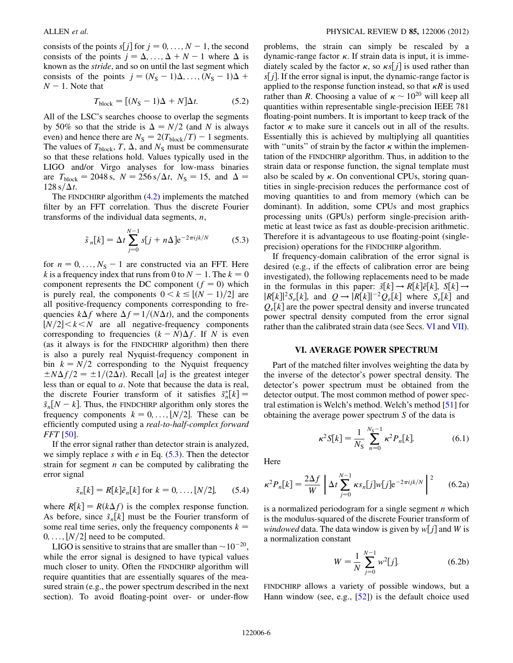consists of the points  $s[j]$  for  $j = 0, ..., N - 1$ , the second<br>consists of the points  $j = \Lambda - \Lambda + N - 1$  where  $\Lambda$  is consists of the points  $j = \Delta, ..., \Delta + N - 1$  where  $\Delta$  is<br>known as the *stride* and so on until the last segment which known as the stride, and so on until the last segment which consists of the points  $j = (N_S - 1)\Delta, ..., (N_S - 1)\Delta + N - 1$  Note that  $N-1$ . Note that

$$
T_{\text{block}} = [(N_{\text{S}} - 1)\Delta + N]\Delta t. \tag{5.2}
$$

<span id="page-5-3"></span>All of the LSC's searches choose to overlap the segments by 50% so that the stride is  $\Delta = N/2$  (and N is always even) and hence there are  $N_S = 2(T_{\text{block}}/T) - 1$  segments.<br>The values of  $T_{\text{max}}$ ,  $T_{\text{max}}$  and  $N_{\text{max}}$  must be commensurate The values of  $T_{block}$ ,  $T$ ,  $\Delta$ , and  $N_{S}$  must be commensurate so that these relations hold. Values typically used in the LIGO and/or Virgo analyses for low-mass binaries are  $T_{block} = 2048 \text{ s}, N = 256 \text{ s}/\Delta t, N_{S} = 15, \text{ and } \Delta =$  $128 \text{ s}/\Delta t$ .

<span id="page-5-0"></span>The FINDCHIRP algorithm [\(4.2\)](#page-4-0) implements the matched filter by an FFT correlation. Thus the discrete Fourier transforms of the individual data segments,  $n$ ,

$$
\tilde{s}_n[k] = \Delta t \sum_{j=0}^{N-1} s[j + n\Delta] e^{-2\pi ijk/N} \tag{5.3}
$$

for  $n = 0, ..., N_S - 1$  are constructed via an FFT. Here <br>k is a frequency index that runs from 0 to  $N - 1$ . The  $k = 0$ k is a frequency index that runs from 0 to  $N - 1$ . The  $k = 0$ <br>component represents the DC component  $(f = 0)$  which component represents the DC component  $(f = 0)$  which is purely real, the components  $0 < k \leq \lfloor (N-1)/2 \rfloor$  are all positive-frequency components corresponding to freall positive-frequency components corresponding to frequencies  $k\Delta f$  where  $\Delta f = 1/(N\Delta t)$ , and the components  $|N/2|< k < N$  are all negative-frequency components corresponding to frequencies  $(k - N)\Delta f$ . If N is even<br>(as it always is for the EINDCHIRP algorithm) then there (as it always is for the FINDCHIRP algorithm) then there is also a purely real Nyquist-frequency component in bin  $k = N/2$  corresponding to the Nyquist frequency  $\pm N\Delta f/2 = \pm 1/(2\Delta t)$ . Recall [a] is the greatest integer less than or equal to a. Note that because the data is real, the discrete Fourier transform of it satisfies  $\tilde{s}_n^*[k] = \tilde{s}[N-k]$  Thus the EINDCHIRP algorithm only stores the  $\tilde{s}_n[N-k]$ . Thus, the FINDCHIRP algorithm only stores the frequency components  $k = 0$   $\left| N/2 \right|$ . These can be frequency components  $k = 0, \ldots, [N/2]$ . These can be efficiently computed using a real-to-half-complex forward FFT [\[50\]](#page-17-38).

If the error signal rather than detector strain is analyzed, we simply replace s with e in Eq.  $(5.3)$ . Then the detector strain for segment  $n$  can be computed by calibrating the error signal

$$
\tilde{s}_n[k] = R[k]\tilde{e}_n[k] \text{ for } k = 0, \dots, \lfloor N/2 \rfloor, \qquad (5.4)
$$

where  $R[k] = R(k\Delta f)$  is the complex response function. As before, since  $\tilde{s}_n[k]$  must be the Fourier transform of some real time series, only the frequency components  $k =$  $0, \ldots, |N/2|$  need to be computed.

LIGO is sensitive to strains that are smaller than  $\sim 10^{-20}$ ,<br>wile the error signal is designed to have typical values while the error signal is designed to have typical values much closer to unity. Often the FINDCHIRP algorithm will require quantities that are essentially squares of the measured strain (e.g., the power spectrum described in the next section). To avoid floating-point over- or under-flow problems, the strain can simply be rescaled by a dynamic-range factor  $\kappa$ . If strain data is input, it is immediately scaled by the factor  $\kappa$ , so  $\kappa s[j]$  is used rather than  $s[i]$ . If the error signal is input the dynamic-range factor is  $s[j]$ . If the error signal is input, the dynamic-range factor is applied to the response function instead, so that  $\kappa R$  is used rather than R. Choosing a value of  $\kappa \sim 10^{20}$  will keep all and string proposed in the contract ratio of  $\kappa$  and  $\kappa$ quantities within representable single-precision IEEE 781 floating-point numbers. It is important to keep track of the factor  $\kappa$  to make sure it cancels out in all of the results. Essentially this is achieved by multiplying all quantities with "units" of strain by the factor  $\kappa$  within the implementation of the FINDCHIRP algorithm. Thus, in addition to the strain data or response function, the signal template must also be scaled by  $\kappa$ . On conventional CPUs, storing quantities in single-precision reduces the performance cost of moving quantities to and from memory (which can be dominant). In addition, some CPUs and most graphics processing units (GPUs) perform single-precision arithmetic at least twice as fast as double-precision arithmetic. Therefore it is advantageous to use floating-point (singleprecision) operations for the FINDCHIRP algorithm.

If frequency-domain calibration of the error signal is desired (e.g., if the effects of calibration error are being investigated), the following replacements need to be made<br>in the formulas in this paper:  $\tilde{s}[k] \rightarrow R[k]\tilde{e}[k]$ ,  $S[k] \rightarrow$ in the formulas in this paper:  $\tilde{s}[k] \rightarrow R[k]\tilde{e}[k], S[k] \rightarrow$ <br> $\overline{R[k]^{2}S[k]}$  and  $\overline{O} \rightarrow \overline{R[k]^{2}O[k]}$  where  $\overline{S[k]}$  and  $|R[k]|^2S_e[k]$ , and  $Q \to |R[k]|^{-2}Q_e[k]$  where  $S_e[k]$  and  $Q_k[k]$  and  $Q_k[k]$  are the power spectral density and inverse truncated  $Q_{e}[k]$  are the power spectral density and inverse truncated power spectral density computed from the error signal rather than the calibrated strain data (see Secs. [VI](#page-5-1) and [VII\)](#page-6-0).

# VI. AVERAGE POWER SPECTRUM

<span id="page-5-1"></span>Part of the matched filter involves weighting the data by the inverse of the detector's power spectral density. The detector's power spectrum must be obtained from the detector output. The most common method of power spectral estimation is Welch's method. Welch's method [[51](#page-17-39)] for obtaining the average power spectrum S of the data is

$$
\kappa^2 S[k] = \frac{1}{N_S} \sum_{n=0}^{N_S - 1} \kappa^2 P_n[k]. \tag{6.1}
$$

<span id="page-5-2"></span>Here

$$
\kappa^2 P_n[k] = \frac{2\Delta f}{W} \left[ \Delta t \sum_{j=0}^{N-1} \kappa s_n[j] w[j] e^{-2\pi i jk/N} \right]^2 \tag{6.2a}
$$

is a normalized periodogram for a single segment  $n$  which is the modulus-squared of the discrete Fourier transform of windowed data. The data window is given by  $w[j]$  and W is a normalization constant

$$
W = \frac{1}{N} \sum_{j=0}^{N-1} w^2 [j].
$$
 (6.2b)

FINDCHIRP allows a variety of possible windows, but a Hann window (see, e.g., [\[52\]](#page-17-40)) is the default choice used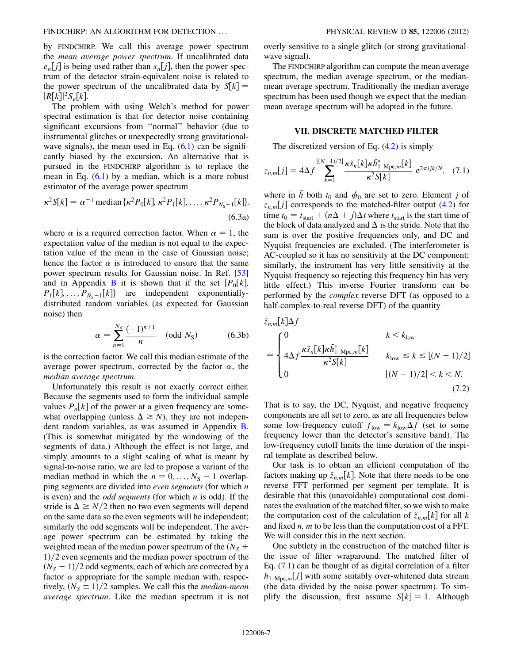by FINDCHIRP. We call this average power spectrum the mean average power spectrum. If uncalibrated data  $e_n[j]$  is being used rather than  $s_n[j]$ , then the power spectrum of the detector strain-equivalent noise is related to the power spectrum of the uncalibrated data by  $S[k] =$  $|R[k]|^2S_{e}[k].$ 

The problem with using Welch's method for power spectral estimation is that for detector noise containing significant excursions from ''normal'' behavior (due to instrumental glitches or unexpectedly strong gravitationalwave signals), the mean used in Eq.  $(6.1)$  $(6.1)$  $(6.1)$  can be significantly biased by the excursion. An alternative that is pursued in the FINDCHIRP algorithm is to replace the mean in Eq.  $(6.1)$  by a median, which is a more robust estimator of the average power spectrum

$$
\kappa^2 S[k] = \alpha^{-1} \text{ median} \{ \kappa^2 P_0[k], \kappa^2 P_1[k], \dots, \kappa^2 P_{N_S - 1}[k] \},
$$
\n(6.3a)

where  $\alpha$  is a required correction factor. When  $\alpha = 1$ , the expectation value of the median is not equal to the expectation value of the mean in the case of Gaussian noise; hence the factor  $\alpha$  is introduced to ensure that the same power spectrum results for Gaussian noise. In Ref. [\[53\]](#page-17-41) and in Appendix **[B](#page-13-1)** it is shown that if the set  $\{P_0[k]\}$ ,  $P_1[k], \ldots, P_{N_s-1}[k]$  are independent exponentially-<br>distributed random variables (as expected for Gaussian distributed random variables (as expected for Gaussian noise) then

$$
\alpha = \sum_{n=1}^{N_{\rm S}} \frac{(-1)^{n+1}}{n} \quad \text{(odd } N_{\rm S}\text{)}\tag{6.3b}
$$

is the correction factor. We call this median estimate of the average power spectrum, corrected by the factor  $\alpha$ , the median average spectrum.

Unfortunately this result is not exactly correct either. Because the segments used to form the individual sample values  $P_n[k]$  of the power at a given frequency are somewhat overlapping (unless  $\Delta \geq N$ ), they are not independent random variables, as was assumed in Appendix [B](#page-13-1). (This is somewhat mitigated by the windowing of the segments of data.) Although the effect is not large, and simply amounts to a slight scaling of what is meant by signal-to-noise ratio, we are led to propose a variant of the median method in which the  $n = 0, \ldots, N_S - 1$  overlap-<br>ping segments are divided into even segments (for which n ping segments are divided into even segments (for which n is even) and the *odd segments* (for which  $n$  is odd). If the stride is  $\Delta \ge N/2$  then no two even segments will depend on the same data so the even segments will be independent; similarly the odd segments will be independent. The average power spectrum can be estimated by taking the weighted mean of the median power spectrum of the  $(N<sub>S</sub> +$  $1)/2$  even segments and the median power spectrum of the  $(N<sub>S</sub> - 1)/2$  odd segments, each of which are corrected by a factor  $\alpha$  appropriate for the sample median with respecfactor  $\alpha$  appropriate for the sample median with, respectively,  $(N<sub>S</sub> \pm 1)/2$  samples. We call this the *median-mean* average spectrum. Like the median spectrum it is not overly sensitive to a single glitch (or strong gravitationalwave signal).

The FINDCHIRP algorithm can compute the mean average spectrum, the median average spectrum, or the medianmean average spectrum. Traditionally the median average spectrum has been used though we expect that the medianmean average spectrum will be adopted in the future.

### VII. DISCRETE MATCHED FILTER

<span id="page-6-1"></span><span id="page-6-0"></span>The discretized version of Eq. ([4.2](#page-4-0)) is simply

$$
z_{n,m}[j] = 4\Delta f \sum_{k=1}^{\lfloor (N-1)/2 \rfloor} \frac{\kappa \tilde{s}_n[k] \kappa \tilde{h}_1^*}{\kappa^2 S[k]} e^{2\pi i jk/N}, \quad (7.1)
$$

where in  $\tilde{h}$  both  $t_0$  and  $\phi_0$  are set to zero. Element j of  $z_{n,m}[j]$  corresponds to the matched-filter output ([4.2](#page-4-0)) for time  $t_0 = t_{\text{start}} + (n\Delta + j)\Delta t$  where  $t_{\text{start}}$  is the start time of the block of data analyzed and  $\Delta$  is the stride. Note that the sum is over the positive frequencies only, and DC and Nyquist frequencies are excluded. (The interferometer is AC-coupled so it has no sensitivity at the DC component; similarly, the instrument has very little sensitivity at the Nyquist-frequency so rejecting this frequency bin has very little effect.) This inverse Fourier transform can be performed by the complex reverse DFT (as opposed to a half-complex-to-real reverse DFT) of the quantity

$$
\tilde{z}_{n,m}[k]\Delta f
$$
\n
$$
= \begin{cases}\n0 & k < k_{\text{low}} \\
4\Delta f \frac{\kappa \tilde{s}_n[k]\kappa \tilde{h}_1^* \mathbf{M}_{\text{pc},m}[k]}{\kappa^2 S[k]} & k_{\text{low}} \le k \le [(N-1)/2] \\
0 & [(N-1)/2] < k < N.\n\end{cases}
$$
\n(7.2)

That is to say, the DC, Nyquist, and negative frequency components are all set to zero, as are all frequencies below some low-frequency cutoff  $f_{low} = k_{low} \Delta f$  (set to some frequency lower than the detector's sensitive band). The low-frequency cutoff limits the time duration of the inspiral template as described below.

Our task is to obtain an efficient computation of the factors making up  $\tilde{z}_{n,m}[k]$ . Note that there needs to be one reverse FFT performed per segment per template. It is desirable that this (unavoidable) computational cost dominates the evaluation of the matched filter, so we wish to make the computation cost of the calculation of  $\tilde{z}_{n,m}[k]$  for all k and fixed  $n$ ,  $m$  to be less than the computation cost of a FFT. We will consider this in the next section.

One subtlety in the construction of the matched filter is the issue of filter wraparound. The matched filter of Eq. ([7.1](#page-6-1)) can be thought of as digital correlation of a filter  $h_1$  <sub>Mpc,m</sub>[j] with some suitably over-whitened data stream (the data divided by the noise power spectrum). To simplify the discussion, first assume  $S[k] = 1$ . Although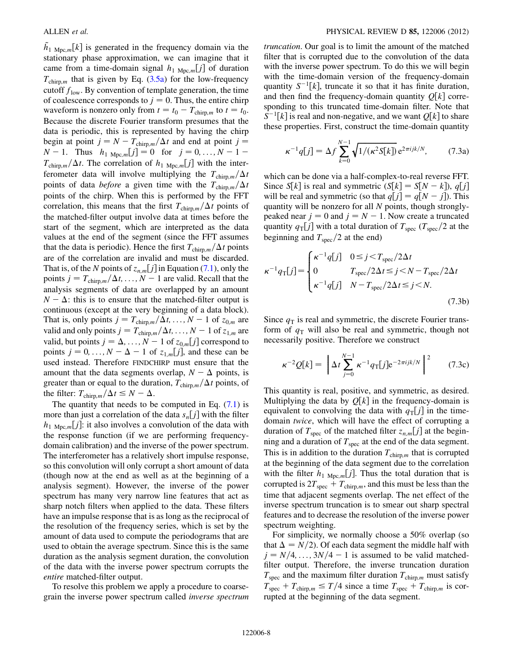$\tilde{h}_{1 \text{ Mpc},m}[k]$  is generated in the frequency domain via the stationary phase approximation, we can imagine that it stationary phase approximation, we can imagine that it came from a time-domain signal  $h_1$  <sub>Mpc,m</sub>[j] of duration  $T_{\text{chirp},m}$  that is given by Eq. ([3.5a\)](#page-3-2) for the low-frequency cutoff  $f_{low}$ . By convention of template generation, the time of coalescence corresponds to  $j = 0$ . Thus, the entire chirp waveform is nonzero only from  $t = t_0 - T_{\text{chirp},m}$  to  $t = t_0$ .<br>Because the discrete Fourier transform presumes that the Because the discrete Fourier transform presumes that the data is periodic, this is represented by having the chirp begin at point  $j = N - T_{\text{chirp},m}/\Delta t$  and end at point  $j = N - 1$ .<br>
N - 1 Thus  $h = \begin{cases} i! = 0 \end{cases}$  for  $i = 0$ ,  $N - 1 =$  $N-1$ . Thus  $h_1_{Mpc,m}[j] = 0$  for  $j = 0, ..., N-1-$ <br> $T_{\text{max}}$  (At The correlation of help is inter- $T_{\text{chirp},m}/\Delta t$ . The correlation of  $h_1$  <sub>Mpc,m</sub>[j] with the interferometer data will involve multiplying the  $T_{\text{chirp,m}}/\Delta t$ points of data *before* a given time with the  $T_{\text{chirp,m}}/\Delta t$ points of the chirp. When this is performed by the FFT correlation, this means that the first  $T_{\text{chirp},m}/\Delta t$  points of the matched-filter output involve data at times before the start of the segment, which are interpreted as the data values at the end of the segment (since the FFT assumes that the data is periodic). Hence the first  $T_{\text{chirp},m}/\Delta t$  points are of the correlation are invalid and must be discarded. That is, of the N points of  $z_{n,m}[j]$  in Equation ([7.1](#page-6-1)), only the points  $j = T_{\text{chirp},m}/\Delta t, \ldots, N-1$  are valid. Recall that the analysis segments of data are overlapped by an amount analysis segments of data are overlapped by an amount  $N - \Delta$ : this is to ensure that the matched-filter output is continuous (except at the very beginning of a data block) continuous (except at the very beginning of a data block). That is, only points  $j = T_{\text{chirp},m}/\Delta t, \ldots, N-1$  of  $z_{0,m}$  are<br>valid and only points  $j = T_{\text{chirp},m}/\Delta t, \ldots, N-1$  of  $z_{0,m}$  are valid and only points  $j = T_{\text{chirp},m}/\Delta t, \ldots, N - 1$  of  $z_{1,m}$  are<br>valid by the points  $i = \Delta N - 1$  of  $z_{1}$ . Lil correspond to valid, but points  $j = \Delta, ..., N - 1$  of  $z_{0,m}[j]$  correspond to points  $i = 0, N - \Delta - 1$  of  $z_i$ . [i] and these can be points  $j = 0, ..., N - \Delta - 1$  of  $z_{1,m}[j]$ , and these can be<br>used instead. Therefore EINDCHIPP must ensure that the used instead. Therefore FINDCHIRP must ensure that the amount that the data segments overlap,  $N - \Delta$  points, is<br>orgater than or equal to the duration  $T_{\text{tot}}$ . (At points of greater than or equal to the duration,  $T_{\text{chirp},m}/\Delta t$  points, of the filter:  $T_{\text{chirp},m}/\Delta t \leq N - \Delta$ .<br>The quantity that needs to be

The quantity that needs to be computed in Eq.  $(7.1)$  $(7.1)$  is more than just a correlation of the data  $s_n[j]$  with the filter  $h_1$  <sub>Mpc,m</sub>[j]: it also involves a convolution of the data with the response function (if we are performing frequencydomain calibration) and the inverse of the power spectrum. The interferometer has a relatively short impulse response, so this convolution will only corrupt a short amount of data (though now at the end as well as at the beginning of a analysis segment). However, the inverse of the power spectrum has many very narrow line features that act as sharp notch filters when applied to the data. These filters have an impulse response that is as long as the reciprocal of the resolution of the frequency series, which is set by the amount of data used to compute the periodograms that are used to obtain the average spectrum. Since this is the same duration as the analysis segment duration, the convolution of the data with the inverse power spectrum corrupts the entire matched-filter output.

To resolve this problem we apply a procedure to coarsegrain the inverse power spectrum called inverse spectrum truncation. Our goal is to limit the amount of the matched filter that is corrupted due to the convolution of the data with the inverse power spectrum. To do this we will begin with the time-domain version of the frequency-domain quantity  $S^{-1}[k]$ , truncate it so that it has finite duration,<br>and then find the frequency-domain quantity  $O[k]$  correand then find the frequency-domain quantity  $Q[k]$  corresponding to this truncated time-domain filter. Note that  $S^{-1}[k]$  is real and non-negative, and we want  $Q[k]$  to share<br>these properties. First, construct the time-domain quantity these properties. First, construct the time-domain quantity

<span id="page-7-0"></span>
$$
\kappa^{-1}q[j] = \Delta f \sum_{k=0}^{N-1} \sqrt{1/(\kappa^2 S[k])} e^{2\pi i jk/N},
$$
 (7.3a)

which can be done via a half-complex-to-real reverse FFT. Since  $S[k]$  is real and symmetric  $(S[k] = S[N - k])$ ,  $q[j]$ <br>will be real and symmetric (so that  $q[i] = q[N - i]$ ). This will be real and symmetric (so that  $q[j] = q[N - j]$ ). This quantity will be nonzero for all N points, though stronglyquantity will be nonzero for all N points, though stronglypeaked near  $j = 0$  and  $j = N - 1$ . Now create a truncated<br>quantity  $q_{\text{m}}[j]$  with a total duration of  $T = (T - \sqrt{2})$  at the quantity  $q_{\text{t}}[j]$  with a total duration of  $T_{\text{spec}}(T_{\text{spec}}/2$  at the beginning and  $T_{\text{spec}}/2$  at the end)

$$
\kappa^{-1}q_{\rm T}[j] = \begin{cases} \kappa^{-1}q[j] & 0 \le j < T_{\rm spec}/2\Delta t \\ 0 & T_{\rm spec}/2\Delta t \le j < N - T_{\rm spec}/2\Delta t \\ \kappa^{-1}q[j] & N - T_{\rm spec}/2\Delta t \le j < N. \end{cases} \tag{7.3b}
$$

Since  $q_T$  is real and symmetric, the discrete Fourier transform of  $q_T$  will also be real and symmetric, though not necessarily positive. Therefore we construct

$$
\kappa^{-2} Q[k] = \left[ \Delta t \sum_{j=0}^{N-1} \kappa^{-1} q_{\rm T}[j] e^{-2\pi i j k/N} \right]^2 \qquad (7.3c)
$$

This quantity is real, positive, and symmetric, as desired. Multiplying the data by  $Q[k]$  in the frequency-domain is equivalent to convolving the data with  $q_T[j]$  in the timedomain twice, which will have the effect of corrupting a duration of  $T_{\text{spec}}$  of the matched filter  $z_{n,m}[j]$  at the beginning and a duration of  $T_{\text{spec}}$  at the end of the data segment. This is in addition to the duration  $T_{\text{chirp},m}$  that is corrupted at the beginning of the data segment due to the correlation with the filter  $h_1$  <sub>Mpc,m</sub>[j]. Thus the total duration that is corrupted is  $2T_{\text{spec}} + T_{\text{chirp},m}$ , and this must be less than the time that adjacent segments overlap. The net effect of the inverse spectrum truncation is to smear out sharp spectral features and to decrease the resolution of the inverse power spectrum weighting.

For simplicity, we normally choose a 50% overlap (so that  $\Delta = N/2$ ). Of each data segment the middle half with  $j = N/4, \ldots, 3N/4 - 1$  is assumed to be valid matched-<br>filter output. Therefore, the inverse truncation duration filter output. Therefore, the inverse truncation duration  $T_{\text{spec}}$  and the maximum filter duration  $T_{\text{chirp},m}$  must satisfy  $T_{\text{spec}} + T_{\text{chirp},m} \leq T/4$  since a time  $T_{\text{spec}} + T_{\text{chirp},m}$  is corrupted at the beginning of the data segment.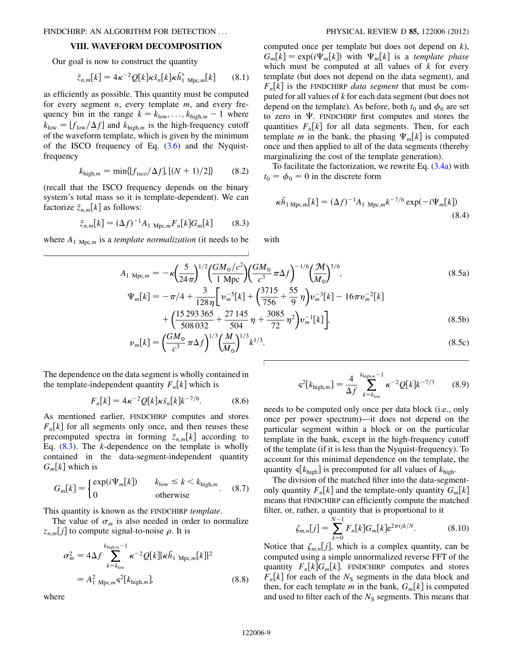### VIII. WAVEFORM DECOMPOSITION

<span id="page-8-6"></span>Our goal is now to construct the quantity

$$
\tilde{z}_{n,m}[k] = 4\kappa^{-2} Q[k]\kappa \tilde{s}_n[k]\kappa \tilde{h}_1^* \mathbf{M}_{\text{pc},m}[k] \qquad (8.1)
$$

as efficiently as possible. This quantity must be computed for every segment  $n$ , every template  $m$ , and every frequency bin in the range  $k = k_{\text{low}}, \ldots, k_{\text{high},m} - 1$  where  $k_{\text{low}} = 1f$  (A f) and  $k_{\text{low}}$  is the high frequency cutoff  $k_{\text{low}} = [f_{\text{low}}/\Delta f]$  and  $k_{\text{high,m}}$  is the high-frequency cutoff of the waveform template, which is given by the minimum of the ISCO frequency of Eq.  $(3.6)$  $(3.6)$  and the Nyquistfrequency

$$
k_{\text{high},m} = \min\{ |f_{\text{isco}}/\Delta f|, |(N+1)/2| \} \tag{8.2}
$$

<span id="page-8-0"></span>(recall that the ISCO frequency depends on the binary system's total mass so it is template-dependent). We can factorize  $\tilde{z}_{n,m}[k]$  as follows:

$$
\tilde{z}_{n,m}[k] = (\Delta f)^{-1} A_{1 \text{ Mpc},m} F_n[k] G_m[k] \tag{8.3}
$$

<span id="page-8-5"></span>where  $A_1_{\text{Mpc},m}$  is a *template normalization* (it needs to be

computed once per template but does not depend on  $k$ ),  $G_m[k] = \exp(i\Psi_m[k])$  with  $\Psi_m[k]$  is a *template phase*<br>which must be computed at all values of k for every which must be computed at all values of  $k$  for every template (but does not depend on the data segment), and  $F_n[k]$  is the FINDCHIRP *data segment* that must be computed for all values of k for each data segment (but does not depend on the template). As before, both  $t_0$  and  $\phi_0$  are set to zero in  $\Psi$ . FINDCHIRP first computes and stores the quantities  $F_n[k]$  for all data segments. Then, for each template m in the bank, the phasing  $\Psi_m[k]$  is computed<br>once and then applied to all of the data segments (thereby once and then applied to all of the data segments (thereby marginalizing the cost of the template generation).

To facilitate the factorization, we rewrite Eq. [\(3.4a\)](#page-2-2) with  $t_0 = \phi_0 = 0$  in the discrete form

$$
\kappa \tilde{h}_{1 \text{ Mpc},m}[k] = (\Delta f)^{-1} A_{1 \text{ Mpc},m} k^{-7/6} \exp(-i\Psi_m[k])
$$
\n(8.4)

with

$$
A_{1 \text{ Mpc},m} = -\kappa \left(\frac{5}{24\pi}\right)^{1/2} \left(\frac{GM_{\odot}/c^{2}}{1 \text{ Mpc}}\right) \left(\frac{GM_{\odot}}{c^{3}}\pi\Delta f\right)^{-1/6} \left(\frac{\mathcal{M}}{M_{\odot}}\right)^{5/6},
$$
\n
$$
\Psi_{m}[k] = -\pi/4 + \frac{3}{128\eta} \left[v_{m}^{-5}[k] + \left(\frac{3715}{756} + \frac{55}{9}\eta\right)v_{m}^{-3}[k] - 16\pi v_{m}^{-2}[k]\right]
$$
\n(8.5a)

$$
+\left(\frac{15\,293\,365}{508\,032}+\frac{27\,145}{504}\,\eta+\frac{3085}{72}\,\eta^2\right)v_m^{-1}[k]\bigg],\tag{8.5b}
$$

$$
v_m[k] = \left(\frac{GM_\odot}{c^3}\pi\Delta f\right)^{1/3} \left(\frac{M}{M_\odot}\right)^{1/3} k^{1/3}.\tag{8.5c}
$$

<span id="page-8-2"></span>The dependence on the data segment is wholly contained in the template-independent quantity  $F_n[k]$  which is

$$
F_n[k] = 4\kappa^{-2} Q[k] \kappa \tilde{s}_n[k] k^{-7/6}.
$$
 (8.6)

As mentioned earlier, FINDCHIRP computes and stores  $F_n[k]$  for all segments only once, and then reuses these precomputed spectra in forming  $\tilde{z}_{n,m}[k]$  according to Eq.  $(8.3)$  $(8.3)$  $(8.3)$ . The *k*-dependence on the template is wholly contained in the data-segment-independent quantity  $G_m[k]$  which is

<span id="page-8-4"></span>
$$
G_m[k] = \begin{cases} \exp(i\Psi_m[k]) & k_{\text{low}} \le k < k_{\text{high},m} \\ 0 & \text{otherwise} \end{cases} \tag{8.7}
$$

This quantity is known as the FINDCHIRP template.

The value of  $\sigma_m$  is also needed in order to normalize  $z_{n,m}[j]$  to compute signal-to-noise  $\rho$ . It is

$$
\sigma_m^2 = 4\Delta f \sum_{k=k_{\text{low}}}^{k_{\text{high},m}-1} \kappa^{-2} Q[k] |\kappa \tilde{h}_1|_{\text{Mpc},m}[k]|^2
$$
  
=  $A_{1}^2 \text{Mpc}, m \text{s}^2[k_{\text{high},m}],$  (8.8)

where

<span id="page-8-3"></span>
$$
s^{2}[k_{\text{high},m}] = \frac{4}{\Delta f} \sum_{k=k_{\text{low}}}^{k_{\text{high},m}-1} \kappa^{-2} Q[k] k^{-7/3}
$$
 (8.9)

needs to be computed only once per data block (i.e., only once per power spectrum)—it does not depend on the particular segment within a block or on the particular template in the bank, except in the high-frequency cutoff of the template (if it is less than the Nyquist-frequency). To account for this minimal dependence on the template, the quantity  $s[k_{\text{high}}]$  is precomputed for all values of  $k_{\text{high}}$ .

The division of the matched filter into the data-segmentonly quantity  $F_n[k]$  and the template-only quantity  $G_m[k]$ means that FINDCHIRP can efficiently compute the matched filter, or, rather, a quantity that is proportional to it

<span id="page-8-1"></span>
$$
\zeta_{m,n}[j] = \sum_{k=0}^{N-1} F_n[k]G_m[k]e^{2\pi ijk/N}.\tag{8.10}
$$

Notice that  $\zeta_{m,n}[j]$ , which is a complex quantity, can be computed using a simple unpormalized reverse EET of the computed using a simple unnormalized reverse FFT of the quantity  $F_n[k]G_m[k]$ . FINDCHIRP computes and stores  $F_n[k]$  for each of the  $N_s$  segments in the data block and then, for each template m in the bank,  $G_m[k]$  is computed and used to filter each of the  $N<sub>S</sub>$  segments. This means that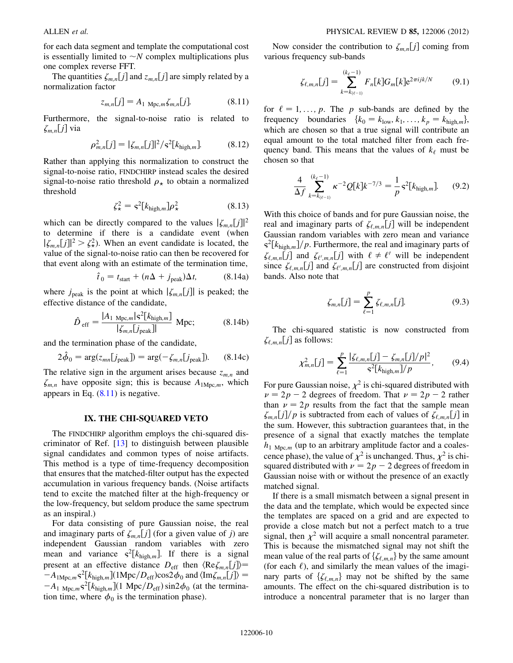for each data segment and template the computational cost is essentially limited to  $\sim N$  complex multiplications plus one complex reverse FFT.

<span id="page-9-0"></span>The quantities  $\zeta_{m,n}[j]$  and  $z_{m,n}[j]$  are simply related by a normalization factor

$$
z_{m,n}[j] = A_{1 \text{ Mpc},m} \zeta_{m,n}[j]. \tag{8.11}
$$

Furthermore, the signal-to-noise ratio is related to  $\zeta_{m,n}[j]$  via

$$
\rho_{m,n}^2[j] = |\zeta_{m,n}[j]|^2 / s^2[k_{\text{high},m}]. \tag{8.12}
$$

Rather than applying this normalization to construct the signal-to-noise ratio, FINDCHIRP instead scales the desired signal-to-noise ratio threshold  $\rho_{\star}$  to obtain a normalized threshold

$$
\zeta_{\star}^2 = \mathbf{s}^2 [k_{\text{high,m}}] \rho_{\star}^2 \tag{8.13}
$$

<span id="page-9-1"></span>which can be directly compared to the values  $|\zeta_{m,n}[j]|^2$ to determine if there is a candidate event (when  $|\zeta_{m,n}[j]|^2 > \zeta_{\star}^2$ . When an event candidate is located, the value of the signal-to-noise ratio can then be recovered for value of the signal-to-noise ratio can then be recovered for that event along with an estimate of the termination time,

$$
\hat{t}_0 = t_{\text{start}} + (n\Delta + j_{\text{peak}})\Delta t,\tag{8.14a}
$$

where  $j_{peak}$  is the point at which  $|\zeta_{m,n}[j]|$  is peaked; the effective distance of the candidate,

$$
\hat{D}_{\text{eff}} = \frac{|A_{1 \text{ Mpc},m}|s^{2}[k_{\text{high},m}]}{|\zeta_{m,n}|j_{\text{peak}}|} \text{ Mpc};
$$
\n(8.14b)

and the termination phase of the candidate,

$$
2\hat{\phi}_0 = \arg(z_{mn}[j_{\text{peak}}]) = \arg(-\zeta_{m,n}[j_{\text{peak}}]). \tag{8.14c}
$$

The relative sign in the argument arises because  $z_{m,n}$  and  $\zeta_{m,n}$  have opposite sign; this is because  $A_{1\text{Mpc},m}$ , which appears in Eq.  $(8.11)$  $(8.11)$  is negative.

# IX. THE CHI-SQUARED VETO

<span id="page-9-4"></span>The FINDCHIRP algorithm employs the chi-squared discriminator of Ref. [[13](#page-17-7)] to distinguish between plausible signal candidates and common types of noise artifacts. This method is a type of time-frequency decomposition that ensures that the matched-filter output has the expected accumulation in various frequency bands. (Noise artifacts tend to excite the matched filter at the high-frequency or the low-frequency, but seldom produce the same spectrum as an inspiral.)

For data consisting of pure Gaussian noise, the real and imaginary parts of  $\zeta_{m,n}[j]$  (for a given value of j) are independent Gaussian random variables with zero mean and variance  $s^2[k_{high,m}]$ . If there is a signal present at an effective distance  $D_{\text{eff}}$  then  $\langle \text{Re}\zeta_{m,n}[j]\rangle =$  $-A_1$   $_{\text{Mpc},m}$ ,  $\mathcal{L}^2[k_{\text{high},m}](1 \text{ Mpc}/D_{\text{eff}}) \sin 2\phi_0$  (at the termina-<br>tion time, where  $\phi_0$  is the termination phase)  $-A_{1\text{Mpc},m}s^2[k_{\text{high},m}](1\text{Mpc}/D_{\text{eff}})\cos 2\phi_0$  and  $\langle \text{Im}\zeta_{m,n}[j] \rangle =$ tion time, where  $\phi_0$  is the termination phase).

<span id="page-9-2"></span>Now consider the contribution to  $\zeta_{m,n}[j]$  coming from various frequency sub-bands

$$
\zeta_{\ell,m,n}[j] = \sum_{k=k_{(\ell-1)}}^{(k_{\ell}-1)} F_n[k] G_m[k] e^{2\pi i j k/N} \qquad (9.1)
$$

for  $\ell = 1, \ldots, p$ . The p sub-bands are defined by the frequency boundaries  ${k_0 = k_{\text{low}}, k_1, ..., k_p = k_{\text{high},m}}$ , which are chosen so that a true signal will contribute an equal amount to the total matched filter from each frequency band. This means that the values of  $k_{\ell}$  must be chosen so that

$$
\frac{4}{\Delta f} \sum_{k=k_{(\ell-1)}}^{(k_{\ell}-1)} \kappa^{-2} Q[k] k^{-7/3} = \frac{1}{p} \mathbf{s}^{2}[k_{\text{high,m}}]. \tag{9.2}
$$

With this choice of bands and for pure Gaussian noise, the real and imaginary parts of  $\zeta_{\ell,m,n}[j]$  will be independent Gaussian random variables with zero mean and variance  $s^{2}[k_{\text{high},m}]/p$ . Furthermore, the real and imaginary parts of  $\zeta_{\ell,m,n}[j]$  and  $\zeta_{\ell',m,n}[j]$  with  $\ell \neq \ell'$  will be independent<br>since  $\zeta_{\ell}$  [i] and  $\zeta_{\ell'}$  [i] are constructed from disjoint since  $\zeta_{\ell,m,n}[j]$  and  $\zeta_{\ell',m,n}[j]$  are constructed from disjoint bands. Also note that bands. Also note that

$$
\zeta_{m,n}[j] = \sum_{\ell=1}^{p} \zeta_{\ell,m,n}[j]. \tag{9.3}
$$

<span id="page-9-3"></span>The chi-squared statistic is now constructed from  $\zeta_{\ell,m,n}[j]$  as follows:

$$
\chi_{m,n}^2[j] = \sum_{\ell=1}^p \frac{|\zeta_{\ell,m,n}[j] - \zeta_{m,n}[j]/p|^2}{s^2[k_{\text{high},m}]/p},\qquad(9.4)
$$

For pure Gaussian noise,  $\chi^2$  is chi-squared distributed with  $\nu = 2p - 2$  degrees of freedom. That  $\nu = 2p - 2$  rather<br>than  $\nu = 2p$  results from the fact that the sample mean than  $\nu = 2p$  results from the fact that the sample mean  $\zeta_{m,n}[j]/p$  is subtracted from each of values of  $\zeta_{\ell,m,n}[j]$  in the sum. However, this subtraction guarantees that, in the presence of a signal that exactly matches the template  $h_{1 \text{Mpc},m}$  (up to an arbitrary amplitude factor and a coalescence phase), the value of  $\chi^2$  is unchanged. Thus,  $\chi^2$  is chisquared distributed with  $\nu = 2p - 2$  degrees of freedom in<br>Gaussian noise with or without the presence of an exactly Gaussian noise with or without the presence of an exactly matched signal.

If there is a small mismatch between a signal present in the data and the template, which would be expected since the templates are spaced on a grid and are expected to provide a close match but not a perfect match to a true signal, then  $\chi^2$  will acquire a small noncentral parameter. This is because the mismatched signal may not shift the mean value of the real parts of  $\{\zeta_{\ell,m,n}\}$  by the same amount (for each  $\ell$ ), and similarly the mean values of the imaginary parts of  $\{\zeta_{\ell,m,n}\}$  may not be shifted by the same amounts. The effect on the chi-squared distribution is to introduce a noncentral parameter that is no larger than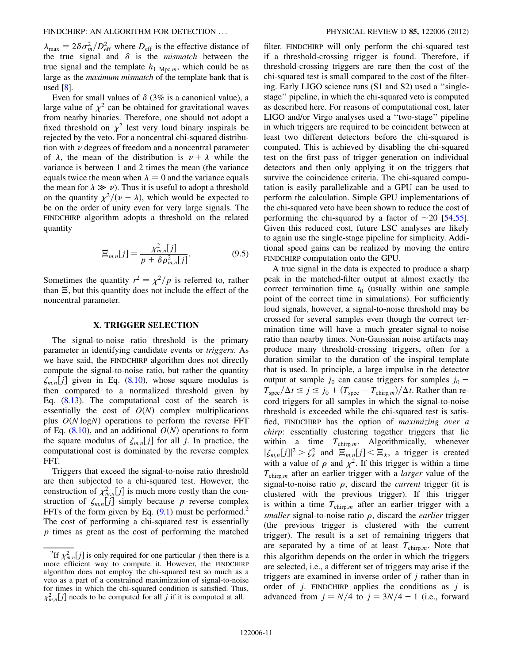$\lambda_{\text{max}} = 2\delta\sigma_m^2/D_{\text{eff}}^2$  where  $D_{\text{eff}}$  is the effective distance of the true signal and  $\delta$  is the *mismatch* between the the true signal and  $\delta$  is the *mismatch* between the true signal and the template  $h_1$  <sub>Mpc,*m*</sub>, which could be as large as the maximum mismatch of the template bank that is used [[8\]](#page-17-33).

Even for small values of  $\delta$  (3% is a canonical value), a large value of  $\chi^2$  can be obtained for gravitational waves from nearby binaries. Therefore, one should not adopt a fixed threshold on  $\chi^2$  lest very loud binary inspirals be rejected by the veto. For a noncentral chi-squared distribution with  $\nu$  degrees of freedom and a noncentral parameter of  $\lambda$ , the mean of the distribution is  $\nu + \lambda$  while the variance is between 1 and 2 times the mean (the variance equals twice the mean when  $\lambda = 0$  and the variance equals the mean for  $\lambda \gg \nu$ ). Thus it is useful to adopt a threshold<br>on the quantity  $v^2/(v + \lambda)$  which would be expected to on the quantity  $\chi^2/(\nu + \lambda)$ , which would be expected to be on the order of unity even for very large signals. The FINDCHIRP algorithm adopts a threshold on the related quantity

$$
\Xi_{m,n}[j] = \frac{\chi_{m,n}^2[j]}{p + \delta \rho_{m,n}^2[j]}.
$$
\n(9.5)

<span id="page-10-1"></span>Sometimes the quantity  $r^2 = \frac{\chi^2}{p}$  is referred to, rather than  $\Xi$ , but this quantity does not include the effect of the noncentral parameter.

#### X. TRIGGER SELECTION

<span id="page-10-0"></span>The signal-to-noise ratio threshold is the primary parameter in identifying candidate events or triggers. As we have said, the FINDCHIRP algorithm does not directly compute the signal-to-noise ratio, but rather the quantity  $\zeta_{m,n}[j]$  given in Eq. ([8.10](#page-8-1)), whose square modulus is then compared to a normalized threshold given by Eq. ([8.13](#page-9-1)). The computational cost of the search is essentially the cost of  $O(N)$  complex multiplications plus  $O(N \log N)$  operations to perform the reverse FFT of Eq. ([8.10](#page-8-1)), and an additional  $O(N)$  operations to form the square modulus of  $\zeta_{m,n}[j]$  for all j. In practice, the computational cost is dominated by the reverse complex FFT.

Triggers that exceed the signal-to-noise ratio threshold are then subjected to a chi-squared test. However, the construction of  $\chi^2_{m,n}[j]$  is much more costly than the con-<br>struction of  $\chi^2$  [i] simply because *n* reverse complex struction of  $\zeta_{m,n}[j]$  simply because p reverse complex FFTs of the form given by Eq.  $(9.1)$  $(9.1)$  $(9.1)$  must be performed.<sup>2</sup> The cost of performing a chi-squared test is essentially p times as great as the cost of performing the matched filter. FINDCHIRP will only perform the chi-squared test if a threshold-crossing trigger is found. Therefore, if threshold-crossing triggers are rare then the cost of the chi-squared test is small compared to the cost of the filtering. Early LIGO science runs (S1 and S2) used a ''singlestage'' pipeline, in which the chi-squared veto is computed as described here. For reasons of computational cost, later LIGO and/or Virgo analyses used a ''two-stage'' pipeline in which triggers are required to be coincident between at least two different detectors before the chi-squared is computed. This is achieved by disabling the chi-squared test on the first pass of trigger generation on individual detectors and then only applying it on the triggers that survive the coincidence criteria. The chi-squared computation is easily parallelizable and a GPU can be used to perform the calculation. Simple GPU implementations of the chi-squared veto have been shown to reduce the cost of performing the chi-squared by a factor of  $\sim$  20 [\[54,](#page-17-42)[55\]](#page-17-43). Given this reduced cost, future LSC analyses are likely to again use the single-stage pipeline for simplicity. Additional speed gains can be realized by moving the entire FINDCHIRP computation onto the GPU.

A true signal in the data is expected to produce a sharp peak in the matched-filter output at almost exactly the correct termination time  $t_0$  (usually within one sample point of the correct time in simulations). For sufficiently loud signals, however, a signal-to-noise threshold may be crossed for several samples even though the correct termination time will have a much greater signal-to-noise ratio than nearby times. Non-Gaussian noise artifacts may produce many threshold-crossing triggers, often for a duration similar to the duration of the inspiral template that is used. In principle, a large impulse in the detector output at sample  $j_0$  can cause triggers for samples  $j_0$  -<br>  $T = \sqrt{\Delta t} \le i \times i + (T - + T_{\text{max}})/\Delta t$ . Rather than re- $T_{\text{spec}}/\Delta t \leq j \leq j_0 + (T_{\text{spec}} + T_{\text{chirp},m})/\Delta t$ . Rather than record triggers for all samples in which the signal-to-noise threshold is exceeded while the chi-squared test is satisfied, FINDCHIRP has the option of maximizing over a chirp: essentially clustering together triggers that lie within a time  $T_{\text{chirp},m}$ . Algorithmically, whenever  $|\zeta_{m,n}[j]|^2 > \zeta_{\star}^2$  and  $\overline{\Xi}_{m,n}[j] < \overline{\Xi}_{\star}$ , a trigger is created with a value of a and  $y^2$  If this trigger is within a time with a value of  $\rho$  and  $\chi^2$ . If this trigger is within a time  $T_{\text{chirp},m}$  after an earlier trigger with a *larger* value of the signal-to-noise ratio  $\rho$ , discard the *current* trigger (it is clustered with the previous trigger). If this trigger is within a time  $T_{\text{chirp},m}$  after an earlier trigger with a smaller signal-to-noise ratio  $\rho$ , discard the *earlier* trigger (the previous trigger is clustered with the current trigger). The result is a set of remaining triggers that are separated by a time of at least  $T_{\text{chirp},m}$ . Note that this algorithm depends on the order in which the triggers are selected, i.e., a different set of triggers may arise if the triggers are examined in inverse order of j rather than in order of  $j$ . FINDCHIRP applies the conditions as  $j$  is advanced from  $j = N/4$  to  $j = 3N/4 - 1$  (i.e., forward

<sup>&</sup>lt;sup>2</sup>If  $\chi^2_{m,n}[j]$  is only required for one particular j then there is a ore efficient way to compute it. However, the FINDCHIRP more efficient way to compute it. However, the FINDCHIRP algorithm does not employ the chi-squared test so much as a veto as a part of a constrained maximization of signal-to-noise for times in which the chi-squared condition is satisfied. Thus,  $\chi^2_{m,n}[j]$  needs to be computed for all j if it is computed at all.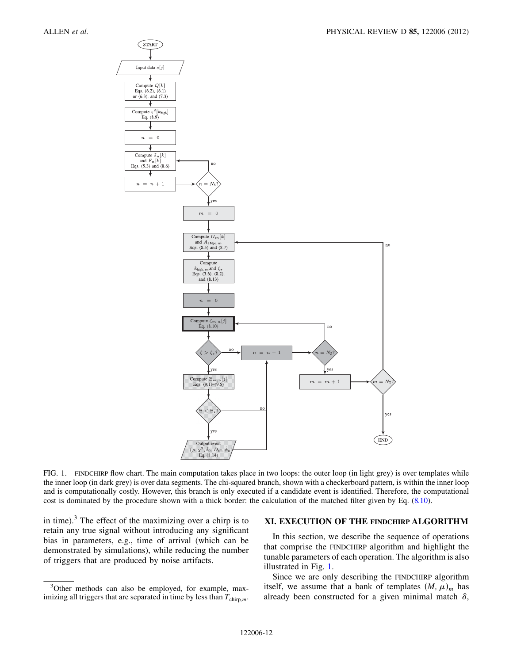<span id="page-11-0"></span>

FIG. 1. FINDCHIRP flow chart. The main computation takes place in two loops: the outer loop (in light grey) is over templates while the inner loop (in dark grey) is over data segments. The chi-squared branch, shown with a checkerboard pattern, is within the inner loop and is computationally costly. However, this branch is only executed if a candidate event is identified. Therefore, the computational cost is dominated by the procedure shown with a thick border: the calculation of the matched filter given by Eq. ([8.10\)](#page-8-1).

in time). $3$  The effect of the maximizing over a chirp is to retain any true signal without introducing any significant bias in parameters, e.g., time of arrival (which can be demonstrated by simulations), while reducing the number of triggers that are produced by noise artifacts.

## XI. EXECUTION OF THE FINDCHIRP ALGORITHM

In this section, we describe the sequence of operations that comprise the FINDCHIRP algorithm and highlight the tunable parameters of each operation. The algorithm is also illustrated in Fig. [1](#page-11-0).

Since we are only describing the FINDCHIRP algorithm itself, we assume that a bank of templates  $(M, \mu)$ <sub>m</sub> has already been constructed for a given minimal match  $\delta$ ,

<sup>&</sup>lt;sup>3</sup>Other methods can also be employed, for example, maximizing all triggers that are separated in time by less than  $T_{\text{chirp,m}}$ .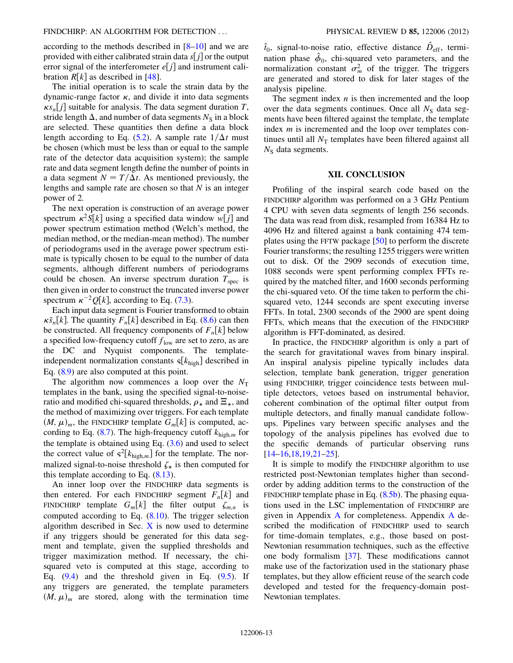according to the methods described in [\[8](#page-17-33)–[10](#page-17-44)] and we are provided with either calibrated strain data  $s[i]$  or the output error signal of the interferometer  $e[j]$  and instrument calibration  $R[k]$  as described in [\[48\]](#page-17-36).

The initial operation is to scale the strain data by the dynamic-range factor  $\kappa$ , and divide it into data segments  $\kappa s_n[j]$  suitable for analysis. The data segment duration T,<br>stride length  $\Lambda$  and number of data segments  $N_c$  in a block stride length  $\Delta$ , and number of data segments  $N<sub>S</sub>$  in a block are selected. These quantities then define a data block length according to Eq. [\(5.2\)](#page-5-3). A sample rate  $1/\Delta t$  must be chosen (which must be less than or equal to the sample rate of the detector data acquisition system); the sample rate and data segment length define the number of points in a data segment  $N = T/\Delta t$ . As mentioned previously, the lengths and sample rate are chosen so that  $N$  is an integer power of 2.

The next operation is construction of an average power spectrum  $\kappa^2 S[k]$  using a specified data window  $w[j]$  and<br>nower spectrum estimation method (Welch's method, the power spectrum estimation method (Welch's method, the median method, or the median-mean method). The number of periodograms used in the average power spectrum estimate is typically chosen to be equal to the number of data segments, although different numbers of periodograms could be chosen. An inverse spectrum duration  $T_{\text{spec}}$  is then given in order to construct the truncated inverse power spectrum  $\kappa^{-2}Q[k]$ , according to Eq. [\(7.3\)](#page-7-0).<br>Each input data segment is Fourier transf

Each input data segment is Fourier transformed to obtain  $\kappa \tilde{s}_n[k]$ . The quantity  $F_n[k]$  described in Eq. ([8.6](#page-8-2)) can then<br>be constructed. All frequency components of  $F[k]$  below. be constructed. All frequency components of  $F_n[k]$  below a specified low-frequency cutoff  $f_{low}$  are set to zero, as are the DC and Nyquist components. The templateindependent normalization constants  $\varsigma[k_{\text{high}}]$  described in Eq. ([8.9](#page-8-3)) are also computed at this point.

The algorithm now commences a loop over the  $N_T$ templates in the bank, using the specified signal-to-noiseratio and modified chi-squared thresholds,  $\rho_{\star}$  and  $\Xi_{\star}$ , and the method of maximizing over triggers. For each template  $(M, \mu)_m$ , the FINDCHIRP template  $G_m[k]$  is computed, ac-cording to Eq. [\(8.7\)](#page-8-4). The high-frequency cutoff  $k_{\text{high},m}$  for the template is obtained using Eq.  $(3.6)$  $(3.6)$  $(3.6)$  and used to select the correct value of  $s^2[k_{\text{high,m}}]$  for the template. The normalized signal-to-noise threshold  $\zeta_{\star}$  is then computed for this template according to Eq.  $(8.13)$  $(8.13)$ .

An inner loop over the FINDCHIRP data segments is then entered. For each FINDCHIRP segment  $F_n[k]$  and FINDCHIRP template  $G_m[k]$  the filter output  $\zeta_{m,n}$  is computed according to Eq.  $(8.10)$  $(8.10)$ . The trigger selection algorithm described in Sec.  $X$  is now used to determine if any triggers should be generated for this data segment and template, given the supplied thresholds and trigger maximization method. If necessary, the chisquared veto is computed at this stage, according to Eq.  $(9.4)$  and the threshold given in Eq.  $(9.5)$  $(9.5)$  $(9.5)$ . If any triggers are generated, the template parameters  $(M, \mu)$ <sub>m</sub> are stored, along with the termination time

 $\hat{t}_0$ , signal-to-noise ratio, effective distance  $\hat{D}_{\text{eff}}$ , termination phase  $\hat{\phi}_0$ , chi-squared veto parameters, and the normalization constant  $\sigma_m^2$  of the trigger. The triggers are generated and stored to disk for later stages of the analysis pipeline.

The segment index  $n$  is then incremented and the loop over the data segments continues. Once all  $N<sub>S</sub>$  data segments have been filtered against the template, the template index *m* is incremented and the loop over templates continues until all  $N<sub>T</sub>$  templates have been filtered against all  $N<sub>S</sub>$  data segments.

# XII. CONCLUSION

Profiling of the inspiral search code based on the FINDCHIRP algorithm was performed on a 3 GHz Pentium 4 CPU with seven data segments of length 256 seconds. The data was read from disk, resampled from 16384 Hz to 4096 Hz and filtered against a bank containing 474 templates using the FFTW package [\[50\]](#page-17-38) to perform the discrete Fourier transforms; the resulting 1255 triggers were written out to disk. Of the 2909 seconds of execution time, 1088 seconds were spent performing complex FFTs required by the matched filter, and 1600 seconds performing the chi-squared veto. Of the time taken to perform the chisquared veto, 1244 seconds are spent executing inverse FFTs. In total, 2300 seconds of the 2900 are spent doing FFTs, which means that the execution of the FINDCHIRP algorithm is FFT-dominated, as desired.

In practice, the FINDCHIRP algorithm is only a part of the search for gravitational waves from binary inspiral. An inspiral analysis pipeline typically includes data selection, template bank generation, trigger generation using FINDCHIRP, trigger coincidence tests between multiple detectors, vetoes based on instrumental behavior, coherent combination of the optimal filter output from multiple detectors, and finally manual candidate followups. Pipelines vary between specific analyses and the topology of the analysis pipelines has evolved due to the specific demands of particular observing runs [\[14–](#page-17-8)[16,](#page-17-13)[18,](#page-17-14)[19](#page-17-15)[,21–](#page-17-16)[25](#page-17-9)].

It is simple to modify the FINDCHIRP algorithm to use restricted post-Newtonian templates higher than secondorder by adding addition terms to the construction of the FINDCHIRP template phase in Eq.  $(8.5b)$  $(8.5b)$ . The phasing equations used in the LSC implementation of FINDCHIRP are given in Appendix [A](#page-13-0) for completeness. Appendix [A](#page-13-0) described the modification of FINDCHIRP used to search for time-domain templates, e.g., those based on post-Newtonian resummation techniques, such as the effective one body formalism [[37\]](#page-17-23). These modifications cannot make use of the factorization used in the stationary phase templates, but they allow efficient reuse of the search code developed and tested for the frequency-domain post-Newtonian templates.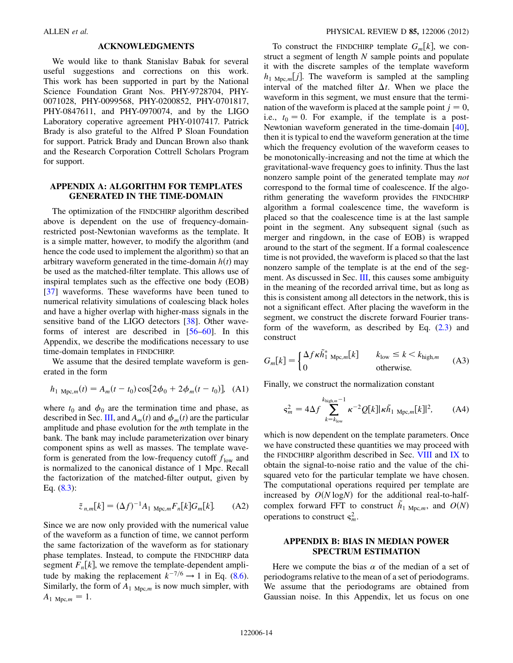### ACKNOWLEDGMENTS

We would like to thank Stanislav Babak for several useful suggestions and corrections on this work. This work has been supported in part by the National Science Foundation Grant Nos. PHY-9728704, PHY-0071028, PHY-0099568, PHY-0200852, PHY-0701817, PHY-0847611, and PHY-0970074, and by the LIGO Laboratory coperative agreement PHY-0107417. Patrick Brady is also grateful to the Alfred P Sloan Foundation for support. Patrick Brady and Duncan Brown also thank and the Research Corporation Cottrell Scholars Program for support.

# <span id="page-13-0"></span>APPENDIX A: ALGORITHM FOR TEMPLATES GENERATED IN THE TIME-DOMAIN

The optimization of the FINDCHIRP algorithm described above is dependent on the use of frequency-domainrestricted post-Newtonian waveforms as the template. It is a simple matter, however, to modify the algorithm (and hence the code used to implement the algorithm) so that an arbitrary waveform generated in the time-domain  $h(t)$  may be used as the matched-filter template. This allows use of inspiral templates such as the effective one body (EOB) [\[37\]](#page-17-23) waveforms. These waveforms have been tuned to numerical relativity simulations of coalescing black holes and have a higher overlap with higher-mass signals in the sensitive band of the LIGO detectors [[38](#page-17-24)]. Other waveforms of interest are described in [[56](#page-17-45)–[60\]](#page-18-1). In this Appendix, we describe the modifications necessary to use time-domain templates in FINDCHIRP.

We assume that the desired template waveform is generated in the form

$$
h_{1 \text{ Mpc},m}(t) = A_m(t - t_0) \cos[2\phi_0 + 2\phi_m(t - t_0)], \text{ (A1)}
$$

where  $t_0$  and  $\phi_0$  are the termination time and phase, as described in Sec. [III](#page-1-1), and  $A_m(t)$  and  $\phi_m(t)$  are the particular amplitude and phase evolution for the mth template in the bank. The bank may include parameterization over binary component spins as well as masses. The template waveform is generated from the low-frequency cutoff  $f_{low}$  and is normalized to the canonical distance of 1 Mpc. Recall the factorization of the matched-filter output, given by Eq. ([8.3](#page-8-0)):

$$
\tilde{z}_{n,m}[k] = (\Delta f)^{-1} A_1 \mathop{\rm Mpc}\nolimits_m F_n[k] G_m[k]. \tag{A2}
$$

Since we are now only provided with the numerical value of the waveform as a function of time, we cannot perform the same factorization of the waveform as for stationary phase templates. Instead, to compute the FINDCHIRP data segment  $F_n[k]$ , we remove the template-dependent amplitude by making the replacement  $k^{-7/6} \rightarrow 1$  in Eq. [\(8.6\)](#page-8-2).<br>Similarly the form of  $A_{1, M}$  is now much simpler with Similarly, the form of  $A_1$  <sub>Mpc,m</sub> is now much simpler, with  $A_{1 \text{Mpc},m} = 1.$ 

To construct the FINDCHIRP template  $G_m[k]$ , we construct a segment of length  $N$  sample points and populate it with the discrete samples of the template waveform  $h_{1 \text{Mpc},m}[j]$ . The waveform is sampled at the sampling interval of the matched filter  $\Delta t$ . When we place the waveform in this segment, we must ensure that the termination of the waveform is placed at the sample point  $j = 0$ , i.e.,  $t_0 = 0$ . For example, if the template is a post-Newtonian waveform generated in the time-domain [[40\]](#page-17-26), then it is typical to end the waveform generation at the time which the frequency evolution of the waveform ceases to be monotonically-increasing and not the time at which the gravitational-wave frequency goes to infinity. Thus the last nonzero sample point of the generated template may not correspond to the formal time of coalescence. If the algorithm generating the waveform provides the FINDCHIRP algorithm a formal coalescence time, the waveform is placed so that the coalescence time is at the last sample point in the segment. Any subsequent signal (such as merger and ringdown, in the case of EOB) is wrapped around to the start of the segment. If a formal coalescence time is not provided, the waveform is placed so that the last nonzero sample of the template is at the end of the seg-ment. As discussed in Sec. [III,](#page-1-1) this causes some ambiguity in the meaning of the recorded arrival time, but as long as this is consistent among all detectors in the network, this is not a significant effect. After placing the waveform in the segment, we construct the discrete forward Fourier transform of the waveform, as described by Eq.  $(2.3)$  and construct

$$
G_m[k] = \begin{cases} \Delta f \kappa \tilde{h}_1^* \, \text{Mpc}, m[k] & k_{\text{low}} \le k < k_{\text{high},m} \\ 0 & \text{otherwise.} \end{cases} \tag{A3}
$$

Finally, we construct the normalization constant

$$
\varsigma_m^2 = 4\Delta f \sum_{k=k_{\text{low}}}^{k_{\text{high},m}-1} \kappa^{-2} Q[k] |\kappa \tilde{h}_1|_{\text{Mpc},m}[k]|^2, \quad (A4)
$$

which is now dependent on the template parameters. Once we have constructed these quantities we may proceed with the FINDCHIRP algorithm described in Sec. [VIII](#page-8-6) and [IX](#page-9-4) to obtain the signal-to-noise ratio and the value of the chisquared veto for the particular template we have chosen. The computational operations required per template are increased by  $O(N \log N)$  for the additional real-to-halfcomplex forward FFT to construct  $\tilde{h}_1$  <sub>Mpc,*m*</sub>, and  $O(N)$ operations to construct  $s_m^2$ .

# <span id="page-13-1"></span>APPENDIX B: BIAS IN MEDIAN POWER SPECTRUM ESTIMATION

Here we compute the bias  $\alpha$  of the median of a set of periodograms relative to the mean of a set of periodograms. We assume that the periodograms are obtained from Gaussian noise. In this Appendix, let us focus on one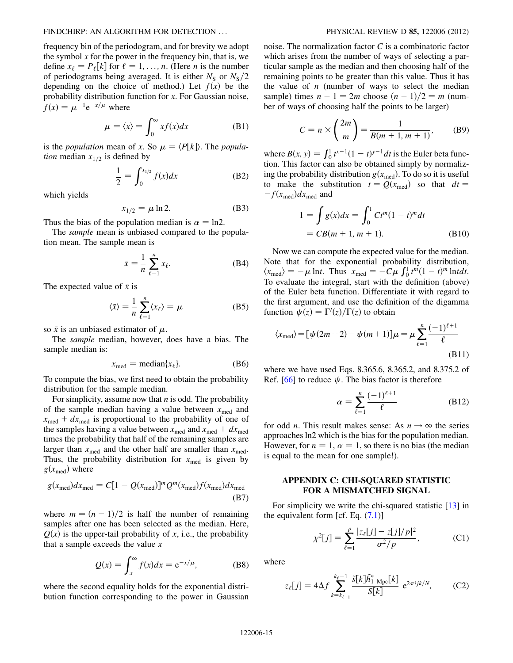frequency bin of the periodogram, and for brevity we adopt the symbol  $x$  for the power in the frequency bin, that is, we define  $x_{\ell} = P_{\ell}[k]$  for  $\ell = 1, ..., n$ . (Here *n* is the number of periodograms being averaged. It is either  $N<sub>S</sub>$  or  $N<sub>S</sub>/2$ depending on the choice of method.) Let  $f(x)$  be the probability distribution function for x. For Gaussian noise,  $f(x) = \mu^{-1} e^{-x/\mu}$  where

$$
\mu = \langle x \rangle = \int_0^\infty x f(x) dx \tag{B1}
$$

is the *population* mean of x. So  $\mu = \langle P[k] \rangle$ . The *population* median  $x_{1/2}$  is defined by

$$
\frac{1}{2} = \int_0^{x_{1/2}} f(x) dx
$$
 (B2)

which yields

$$
x_{1/2} = \mu \ln 2. \tag{B3}
$$

Thus the bias of the population median is  $\alpha = \ln 2$ .

The *sample* mean is unbiased compared to the population mean. The sample mean is

$$
\bar{x} = \frac{1}{n} \sum_{\ell=1}^{n} x_{\ell}.\tag{B4}
$$

The expected value of  $\bar{x}$  is

$$
\langle \bar{x} \rangle = \frac{1}{n} \sum_{\ell=1}^{n} \langle x_{\ell} \rangle = \mu \tag{B5}
$$

so  $\bar{x}$  is an unbiased estimator of  $\mu$ .

The sample median, however, does have a bias. The sample median is:

$$
x_{\text{med}} = \text{median}\{x_{\ell}\}.
$$
 (B6)

To compute the bias, we first need to obtain the probability distribution for the sample median.

For simplicity, assume now that  $n$  is odd. The probability of the sample median having a value between  $x_{\text{med}}$  and  $x_{\text{med}} + dx_{\text{med}}$  is proportional to the probability of one of the samples having a value between  $x_{\text{med}}$  and  $x_{\text{med}} + dx_{\text{med}}$ times the probability that half of the remaining samples are larger than  $x_{\text{med}}$  and the other half are smaller than  $x_{\text{med}}$ . Thus, the probability distribution for  $x_{\text{med}}$  is given by  $g(x_{\text{med}})$  where

$$
g(x_{\text{med}})dx_{\text{med}} = C[1 - Q(x_{\text{med}})]^m Q^m(x_{\text{med}})f(x_{\text{med}})dx_{\text{med}}
$$
\n(B7)

where  $m = (n - 1)/2$  is half the number of remaining<br>samples after one has been selected as the median. Here samples after one has been selected as the median. Here,  $Q(x)$  is the upper-tail probability of x, i.e., the probability that a sample exceeds the value  $x$ 

$$
Q(x) = \int_{x}^{\infty} f(x)dx = e^{-x/\mu},
$$
 (B8)

where the second equality holds for the exponential distribution function corresponding to the power in Gaussian noise. The normalization factor C is a combinatoric factor which arises from the number of ways of selecting a particular sample as the median and then choosing half of the remaining points to be greater than this value. Thus it has the value of  $n$  (number of ways to select the median sample) times  $n - 1 = 2m$  choose  $(n - 1)/2 = m$  (num-<br>her of ways of choosing half the points to be larger) ber of ways of choosing half the points to be larger)

$$
C = n \times \binom{2m}{m} = \frac{1}{B(m+1, m+1)},
$$
 (B9)

where  $B(x, y) = \int_0^1 t^{x-1} (1-t)^{y-1} dt$  is the Euler beta function. This factor can also be obtained simply by normaliztion. This factor can also be obtained simply by normalizing the probability distribution  $g(x_{\text{med}})$ . To do so it is useful to make the substitution  $t = Q(x_{\text{med}})$  so that  $dt =$  $-f(x_{\text{med}})dx_{\text{med}}$  and

$$
1 = \int g(x)dx = \int_0^1 Ct^m(1-t)^m dt
$$
  
= CB(m + 1, m + 1). (B10)

Now we can compute the expected value for the median. Note that for the exponential probability distribution,  $\langle x_{\text{med}} \rangle = -\mu$  lnt. Thus  $x_{\text{med}} = -C\mu \int_0^1 t^m (1-t)^m \ln t dt$ .<br>To evaluate the integral start with the definition (above) To evaluate the integral, start with the definition (above) of the Euler beta function. Differentiate it with regard to the first argument, and use the definition of the digamma function  $\psi(z) = \Gamma'(z)/\Gamma(z)$  to obtain

$$
\langle x_{\text{med}} \rangle = [\psi(2m+2) - \psi(m+1)]\mu = \mu \sum_{\ell=1}^{n} \frac{(-1)^{\ell+1}}{\ell}
$$
\n(B11)

where we have used Eqs. 8.365.6, 8.365.2, and 8.375.2 of Ref. [\[66\]](#page-18-0) to reduce  $\psi$ . The bias factor is therefore

$$
\alpha = \sum_{\ell=1}^{n} \frac{(-1)^{\ell+1}}{\ell} \tag{B12}
$$

for odd *n*. This result makes sense: As  $n \rightarrow \infty$  the series approaches ln2 which is the bias for the population median. However, for  $n = 1$ ,  $\alpha = 1$ , so there is no bias (the median is equal to the mean for one sample!).

# APPENDIX C: CHI-SQUARED STATISTIC FOR A MISMATCHED SIGNAL

For simplicity we write the chi-squared statistic [[13](#page-17-7)] in the equivalent form [cf. Eq.  $(7.1)$  $(7.1)$  $(7.1)$ ]

$$
\chi^{2}[j] = \sum_{\ell=1}^{p} \frac{|z_{\ell}[j] - z[j]/p|^{2}}{\sigma^{2}/p},
$$
 (C1)

where

$$
z_{\ell}[j] = 4\Delta f \sum_{k=k_{\ell-1}}^{k_{\ell}-1} \frac{\tilde{s}[k]\tilde{h}_{1 \text{ Mpc}}^{*}[k]}{S[k]} e^{2\pi ijk/N}, \qquad (C2)
$$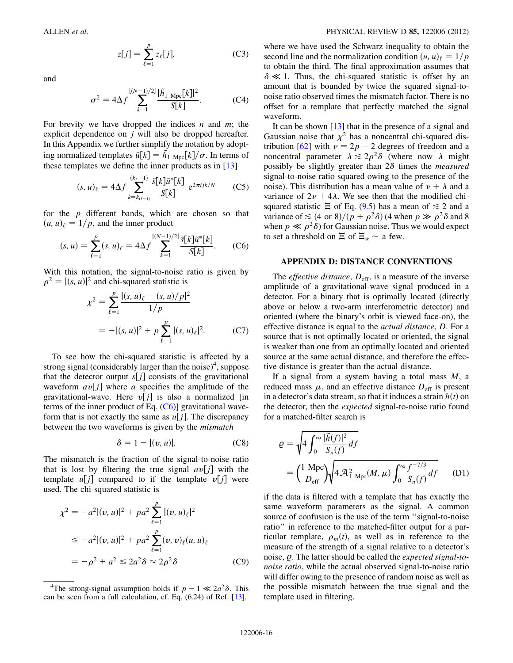$$
z[j] = \sum_{\ell=1}^{p} z_{\ell}[j],\tag{C3}
$$

and

$$
\sigma^2 = 4\Delta f \sum_{k=1}^{\lfloor (N-1)/2 \rfloor} \frac{|\tilde{h}_1|_{\text{Mpc}}[k]|^2}{S[k]}.
$$
 (C4)

For brevity we have dropped the indices  $n$  and  $m$ ; the explicit dependence on j will also be dropped hereafter. In this Appendix we further simplify the notation by adopting normalized templates  $\tilde{u}[k] = \tilde{h}_{1 \text{ Mpc}}[k]/\sigma$ . In terms of these templates we define the inner products as in [13]. these templates we define the inner products as in [[13](#page-17-7)]

$$
(s, u)_{\ell} = 4\Delta f \sum_{k=k_{(\ell-1)}}^{(k_{\ell}-1)} \frac{\tilde{s}[k]\tilde{u}^*[k]}{S[k]} e^{2\pi ijk/N}
$$
 (C5)

<span id="page-15-0"></span>for the p different bands, which are chosen so that  $(u, u)_{\ell} = 1/p$ , and the inner product

$$
(s, u) = \sum_{\ell=1}^{p} (s, u)_{\ell} = 4\Delta f \sum_{k=1}^{\lfloor (N-1)/2 \rfloor} \frac{\tilde{s}[k] \tilde{u}^* [k]}{S[k]}.
$$
 (C6)

With this notation, the signal-to-noise ratio is given by  $\rho^2 = |(s, u)|^2$  and chi-squared statistic is

$$
\chi^{2} = \sum_{\ell=1}^{p} \frac{|(s, u)_{\ell} - (s, u)/p|^{2}}{1/p}
$$
  
= -|(s, u)|^{2} + p \sum\_{\ell=1}^{p} |(s, u)\_{\ell}|^{2}. (C7)

22 September 2014

To see how the chi-squared statistic is affected by a strong signal (considerably larger than the noise)<sup>4</sup>, suppose that the detector output  $s[j]$  consists of the gravitational waveform  $av[j]$  where a specifies the amplitude of the gravitational-wave. Here  $v[i]$  is also a normalized [in terms of the inner product of Eq.  $(C6)$ ] gravitational waveform that is not exactly the same as  $u[j]$ . The discrepancy between the two waveforms is given by the mismatch

$$
\delta = 1 - |(v, u)|. \tag{C8}
$$

The mismatch is the fraction of the signal-to-noise ratio that is lost by filtering the true signal  $av[j]$  with the template  $u[j]$  compared to if the template  $v[j]$  were used. The chi-squared statistic is

$$
\chi^{2} = -a^{2} |(v, u)|^{2} + pa^{2} \sum_{\ell=1}^{p} |(v, u)_{\ell}|^{2}
$$
  
\n
$$
\leq -a^{2} |(v, u)|^{2} + pa^{2} \sum_{\ell=1}^{p} (v, v)_{\ell} (u, u)_{\ell}
$$
  
\n
$$
= -\rho^{2} + a^{2} \leq 2a^{2} \delta \approx 2\rho^{2} \delta
$$
 (C9)

where we have used the Schwarz inequality to obtain the second line and the normalization condition  $(u, u)_{\ell} = 1/p$ to obtain the third. The final approximation assumes that  $\delta \ll 1$ . Thus, the chi-squared statistic is offset by an amount that is bounded by twice the squared signal-tonoise ratio observed times the mismatch factor. There is no offset for a template that perfectly matched the signal waveform.

It can be shown [[13](#page-17-7)] that in the presence of a signal and Gaussian noise that  $\chi^2$  has a noncentral chi-squared dis-tribution [[62](#page-18-2)] with  $\nu = 2p - 2$  degrees of freedom and a<br>noncentral parameter  $\lambda \le 2a^2\delta$  (where now  $\lambda$  might noncentral parameter  $\lambda \le 2\rho^2 \delta$  (where now  $\lambda$  might possibly be slightly greater than  $2\delta$  times the *measured* signal-to-noise ratio squared owing to the presence of the noise). This distribution has a mean value of  $\nu + \lambda$  and a variance of  $2\nu + 4\lambda$ . We see then that the modified chisquared statistic  $\Xi$  of Eq. [\(9.5\)](#page-10-1) has a mean of  $\leq 2$  and a variance of  $\leq (4 \text{ or } 8)/(p + \rho^2 \delta)$  (4 when  $p \gg \rho^2 \delta$  and 8 when  $p \ll \rho^2 \delta$ ) for Gaussian poise. Thus we would expect when  $p \ll \rho^2 \delta$  for Gaussian noise. Thus we would expect to set a threshold on  $\Xi$  of  $\Xi_{\star} \sim$  a few.

## APPENDIX D: DISTANCE CONVENTIONS

The *effective distance*,  $D_{\text{eff}}$ , is a measure of the inverse amplitude of a gravitational-wave signal produced in a detector. For a binary that is optimally located (directly above or below a two-arm interferometric detector) and oriented (where the binary's orbit is viewed face-on), the effective distance is equal to the actual distance, D. For a source that is not optimally located or oriented, the signal is weaker than one from an optimally located and oriented source at the same actual distance, and therefore the effective distance is greater than the actual distance.

If a signal from a system having a total mass  $M$ , a reduced mass  $\mu$ , and an effective distance  $D_{\text{eff}}$  is present in a detector's data stream, so that it induces a strain  $h(t)$  on the detector, then the expected signal-to-noise ratio found for a matched-filter search is

$$
Q = \sqrt{4 \int_0^\infty \frac{|\tilde{h}(f)|^2}{S_n(f)} df}
$$
  
=  $\left(\frac{1 \text{ Mpc}}{D_{\text{eff}}}\right) \sqrt{4 \mathcal{A}_{1}^2 \text{ Mpc}(M, \mu) \int_0^\infty \frac{f^{-7/3}}{S_n(f)} df}$  (D1)

if the data is filtered with a template that has exactly the same waveform parameters as the signal. A common source of confusion is the use of the term ''signal-to-noise ratio'' in reference to the matched-filter output for a particular template,  $\rho_m(t)$ , as well as in reference to the measure of the strength of a signal relative to a detector's noise,  $\rho$ . The latter should be called the *expected signal-to*noise ratio, while the actual observed signal-to-noise ratio will differ owing to the presence of random noise as well as the possible mismatch between the true signal and the template used in filtering.

<sup>&</sup>lt;sup>4</sup>The strong-signal assumption holds if  $p - 1 \ll 2a^2 \delta$ . This n be seen from a full calculation, cf. Eq. (6.24) of Ref. [13]. can be seen from a full calculation, cf. Eq. (6.24) of Ref. [[13](#page-17-7)].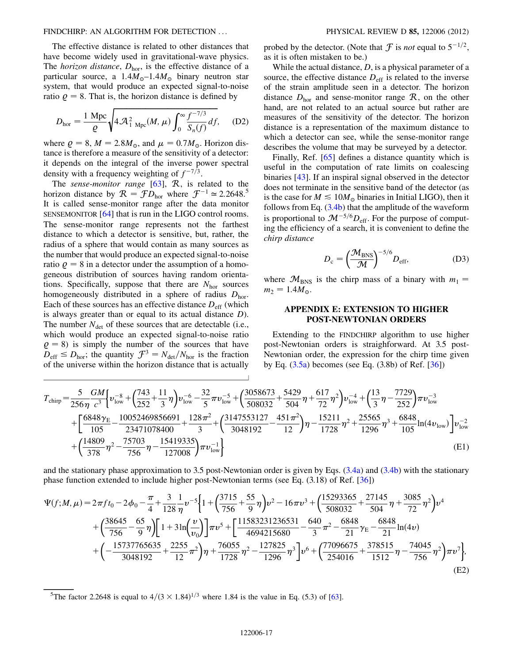The effective distance is related to other distances that have become widely used in gravitational-wave physics. The *horizon distance*,  $D_{\text{hor}}$ , is the effective distance of a particular source, a  $1.4M_{\odot}$ -1.4 $M_{\odot}$  binary neutron star system, that would produce an expected signal-to-noise ratio  $\rho = 8$ . That is, the horizon distance is defined by

$$
D_{\text{hor}} = \frac{1 \text{ Mpc}}{\varrho} \sqrt{4 \mathcal{A}_{1 \text{ Mpc}}^2(M, \mu) \int_0^\infty \frac{f^{-7/3}}{S_n(f)} df}, \quad (D2)
$$

where  $\rho = 8$ ,  $M = 2.8M_{\odot}$ , and  $\mu = 0.7M_{\odot}$ . Horizon distance is therefore a measure of the sensitivity of a detector: it depends on the integral of the inverse power spectral density with a frequency weighting of  $f^{-7/3}$ .

The sense-monitor range  $[63]$  $[63]$  $[63]$ ,  $R$ , is related to the horizon distance by  $R = f D_{\text{hor}}$  where  $f^{-1} \approx 2.2648$ .<sup>5</sup><br>It is called sense-monitor range after the data monitor It is called sense-monitor range after the data monitor SENSEMONITOR [\[64\]](#page-18-4) that is run in the LIGO control rooms. The sense-monitor range represents not the farthest distance to which a detector is sensitive, but, rather, the radius of a sphere that would contain as many sources as the number that would produce an expected signal-to-noise ratio  $\rho = 8$  in a detector under the assumption of a homogeneous distribution of sources having random orientations. Specifically, suppose that there are  $N<sub>hor</sub>$  sources homogeneously distributed in a sphere of radius  $D<sub>hor</sub>$ . Each of these sources has an effective distance  $D_{\text{eff}}$  (which is always greater than or equal to its actual distance D). The number  $N_{\text{det}}$  of these sources that are detectable (i.e., which would produce an expected signal-to-noise ratio  $\varrho = 8$ ) is simply the number of the sources that have  $D_{\text{eff}} \leq D_{\text{hor}}$ ; the quantity  $\mathcal{F}^3 = N_{\text{det}}/N_{\text{hor}}$  is the fraction of the universe within the horizon distance that is actually

probed by the detector. (Note that  $\mathcal F$  is *not* equal to  $5^{-1/2}$ , as it is often mistaken to be.)

While the actual distance,  $D$ , is a physical parameter of a source, the effective distance  $D_{\text{eff}}$  is related to the inverse of the strain amplitude seen in a detector. The horizon distance  $D<sub>hor</sub>$  and sense-monitor range  $R$ , on the other hand, are not related to an actual source but rather are measures of the sensitivity of the detector. The horizon distance is a representation of the maximum distance to which a detector can see, while the sense-monitor range describes the volume that may be surveyed by a detector.

Finally, Ref. [\[65\]](#page-18-5) defines a distance quantity which is useful in the computation of rate limits on coalescing binaries [[43\]](#page-17-29). If an inspiral signal observed in the detector does not terminate in the sensitive band of the detector (as is the case for  $M \le 10M_{\odot}$  binaries in Initial LIGO), then it follows from Eq.  $(3.4b)$  $(3.4b)$  that the amplitude of the waveform is proportional to  $\mathcal{M}^{-5/6}D_{\text{eff}}$ . For the purpose of computing the efficiency of a search, it is convenient to define the chirp distance

$$
D_{\rm c} = \left(\frac{\mathcal{M}_{\rm BNS}}{\mathcal{M}}\right)^{-5/6} D_{\rm eff},\tag{D3}
$$

where  $\mathcal{M}_{BNS}$  is the chirp mass of a binary with  $m_1 =$  $m_2 = 1.4 M_{\odot}$ .

# APPENDIX E: EXTENSION TO HIGHER POST-NEWTONIAN ORDERS

<span id="page-16-0"></span>Extending to the FINDCHIRP algorithm to use higher post-Newtonian orders is straighforward. At 3.5 post-Newtonian order, the expression for the chirp time given by Eq.  $(3.5a)$  $(3.5a)$  becomes (see Eq.  $(3.8b)$  of Ref.  $[36]$  $[36]$  $[36]$ )

$$
T_{\text{chirp}} = \frac{5}{256\eta} \frac{GM}{c^3} \Big\{ v_{\text{low}}^{-8} + \left( \frac{743}{252} + \frac{11}{3}\eta \right) v_{\text{low}}^{-6} - \frac{32}{5}\pi v_{\text{low}}^{-5} + \left( \frac{3058673}{508032} + \frac{5429}{504}\eta + \frac{617}{72}\eta^2 \right) v_{\text{low}}^{-4} + \left( \frac{13}{3}\eta - \frac{7729}{252} \right) \pi v_{\text{low}}^{-3} + \left( \frac{6848\gamma_{\text{E}}}{105} - \frac{10052469856691}{23471078400} + \frac{128\pi^2}{3} + \left( \frac{3147553127}{3048192} - \frac{451\pi^2}{12} \right) \eta - \frac{15211}{1728} \eta^2 + \frac{25565}{1296} \eta^3 + \frac{6848}{105} \ln(4v_{\text{low}}) \Big\} v_{\text{low}}^{-2} + \left( \frac{14809}{378} \eta^2 - \frac{75703}{756} \eta - \frac{15419335}{127008} \right) \pi v_{\text{low}}^{-1} \Big\}
$$
(E1)

and the stationary phase approximation to 3.5 post-Newtonian order is given by Eqs. [\(3.4a](#page-2-2)) and ([3.4b\)](#page-2-1) with the stationary phase function extended to include higher post-Newtonian terms (see Eq. (3.18) of Ref. [[36\]](#page-17-22))

$$
\Psi(f;M,\mu) = 2\pi f t_0 - 2\phi_0 - \frac{\pi}{4} + \frac{3}{128} \frac{1}{\eta} \nu^{-5} \Biggl\{ 1 + \Bigl( \frac{3715}{756} + \frac{55}{9} \eta \Bigr) \nu^2 - 16\pi \nu^3 + \Bigl( \frac{15293365}{508032} + \frac{27145}{504} \eta + \frac{3085}{72} \eta^2 \Bigr) \nu^4 + \Bigl( \frac{38645}{756} - \frac{65}{9} \eta \Bigr) \Biggl[ 1 + 3 \ln \Bigl( \frac{\nu}{\nu_0} \Bigr) \Biggr] \pi \nu^5 + \Biggl[ \frac{11583231236531}{4694215680} - \frac{640}{3} \pi^2 - \frac{6848}{21} \gamma_E - \frac{6848}{21} \ln(4\nu) + \Bigl( -\frac{15737765635}{3048192} + \frac{2255}{12} \pi^2 \Bigr) \eta + \frac{76055}{1728} \eta^2 - \frac{127825}{1296} \eta^3 \Biggr] \nu^6 + \Bigl( \frac{77096675}{254016} + \frac{378515}{1512} \eta - \frac{74045}{756} \eta^2 \Bigr) \pi \nu^7 \Biggr\},\tag{E2}
$$

<sup>&</sup>lt;sup>5</sup>The factor 2.2648 is equal to  $4/(3 \times 1.84)^{1/3}$  where 1.84 is the value in Eq. (5.3) of [\[63\]](#page-18-3).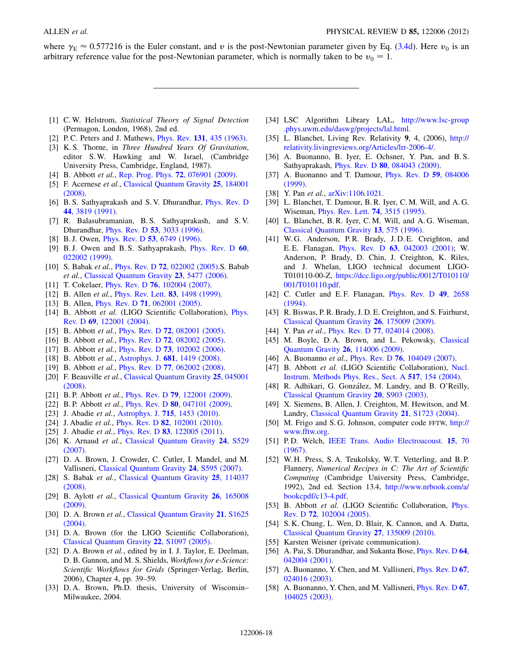where  $\gamma_E \approx 0.577216$  is the Euler constant, and v is the post-Newtonian parameter given by Eq. ([3.4d\)](#page-2-1). Here  $v_0$  is an arbitrary reference value for the post-Newtonian parameter, which is normally taken to be  $v_0 = 1$ .

- <span id="page-17-0"></span>[1] C.W. Helstrom, Statistical Theory of Signal Detection (Permagon, London, 1968), 2nd ed.
- <span id="page-17-2"></span><span id="page-17-1"></span>[2] P. C. Peters and J. Mathews, *Phys. Rev.* **131**[, 435 \(1963\)](http://dx.doi.org/10.1103/PhysRev.131.435).
- [3] K.S. Thorne, in Three Hundred Years Of Gravitation, editor S. W. Hawking and W. Israel, (Cambridge University Press, Cambridge, England, 1987).
- <span id="page-17-3"></span>[4] B. Abbott *et al.*, [Rep. Prog. Phys.](http://dx.doi.org/10.1088/0034-4885/72/7/076901) **72**, 076901 (2009).
- <span id="page-17-4"></span>[5] F. Acernese et al., [Classical Quantum Gravity](http://dx.doi.org/10.1088/0264-9381/25/18/184001) 25, 184001 [\(2008\)](http://dx.doi.org/10.1088/0264-9381/25/18/184001).
- <span id="page-17-5"></span>[6] B. S. Sathyaprakash and S. V. Dhurandhar, [Phys. Rev. D](http://dx.doi.org/10.1103/PhysRevD.44.3819) 44[, 3819 \(1991\).](http://dx.doi.org/10.1103/PhysRevD.44.3819)
- [7] R. Balasubramanian, B. S. Sathyaprakash, and S. V. Dhurandhar, Phys. Rev. D 53[, 3033 \(1996\).](http://dx.doi.org/10.1103/PhysRevD.53.3033)
- <span id="page-17-33"></span>[8] B.J. Owen, *Phys. Rev. D* **53**[, 6749 \(1996\).](http://dx.doi.org/10.1103/PhysRevD.53.6749)
- [9] B. J. Owen and B. S. Sathyaprakash, [Phys. Rev. D](http://dx.doi.org/10.1103/PhysRevD.60.022002) 60, [022002 \(1999\)](http://dx.doi.org/10.1103/PhysRevD.60.022002).
- <span id="page-17-44"></span>[10] S. Babak et al., *Phys. Rev. D* 72[, 022002 \(2005\)](http://dx.doi.org/10.1103/PhysRevD.72.022002).S. Babab et al., [Classical Quantum Gravity](http://dx.doi.org/10.1088/0264-9381/23/18/002) 23, 5477 (2006).
- <span id="page-17-34"></span>[11] T. Cokelaer, *Phys. Rev. D* **76**[, 102004 \(2007\).](http://dx.doi.org/10.1103/PhysRevD.76.102004)
- <span id="page-17-6"></span>[12] B. Allen *et al.*, *[Phys. Rev. Lett.](http://dx.doi.org/10.1103/PhysRevLett.83.1498)* **83**, 1498 (1999).
- <span id="page-17-7"></span>[13] B. Allen, *Phys. Rev. D* **71**[, 062001 \(2005\)](http://dx.doi.org/10.1103/PhysRevD.71.062001).
- <span id="page-17-8"></span>[14] B. Abbott et al. (LIGO Scientific Collaboration), [Phys.](http://dx.doi.org/10.1103/PhysRevD.69.122001) Rev. D 69[, 122001 \(2004\)](http://dx.doi.org/10.1103/PhysRevD.69.122001).
- [15] B. Abbott *et al.*, *Phys. Rev. D* **72**[, 082001 \(2005\).](http://dx.doi.org/10.1103/PhysRevD.72.082001)
- <span id="page-17-13"></span>[16] B. Abbott *et al.*, *Phys. Rev. D* **72**[, 082002 \(2005\).](http://dx.doi.org/10.1103/PhysRevD.72.082002)
- [17] B. Abbott et al., Phys. Rev. D 73[, 102002 \(2006\).](http://dx.doi.org/10.1103/PhysRevD.73.102002)
- <span id="page-17-14"></span>[18] B. Abbott et al., Astrophys. J. 681[, 1419 \(2008\)](http://dx.doi.org/10.1086/587954).
- <span id="page-17-15"></span>[19] B. Abbott et al., Phys. Rev. D 77[, 062002 \(2008\).](http://dx.doi.org/10.1103/PhysRevD.77.062002)
- [20] F. Beauville et al., [Classical Quantum Gravity](http://dx.doi.org/10.1088/0264-9381/25/4/045001) 25, 045001 [\(2008\)](http://dx.doi.org/10.1088/0264-9381/25/4/045001).
- <span id="page-17-16"></span>[21] B.P. Abbott *et al.*, *Phys. Rev. D* **79**[, 122001 \(2009\)](http://dx.doi.org/10.1103/PhysRevD.79.122001).
- [22] B. P. Abbott *et al.*, *Phys. Rev. D* **80**[, 047101 \(2009\)](http://dx.doi.org/10.1103/PhysRevD.80.047101).
- [23] J. Abadie et al., Astrophys. J. **715**[, 1453 \(2010\).](http://dx.doi.org/10.1088/0004-637X/715/2/1453)
- [24] J. Abadie et al., Phys. Rev. D 82[, 102001 \(2010\).](http://dx.doi.org/10.1103/PhysRevD.82.102001)
- <span id="page-17-9"></span>[25] J. Abadie *et al.*, *Phys. Rev. D 83*[, 122005 \(2011\)](http://dx.doi.org/10.1103/PhysRevD.83.122005).
- <span id="page-17-10"></span>[26] K. Arnaud et al., [Classical Quantum Gravity](http://dx.doi.org/10.1088/0264-9381/24/19/S16) 24, S529 [\(2007\)](http://dx.doi.org/10.1088/0264-9381/24/19/S16).
- [27] D. A. Brown, J. Crowder, C. Cutler, I. Mandel, and M. Vallisneri, [Classical Quantum Gravity](http://dx.doi.org/10.1088/0264-9381/24/19/S22) 24, S595 (2007).
- <span id="page-17-11"></span>[28] S. Babak et al., [Classical Quantum Gravity](http://dx.doi.org/10.1088/0264-9381/25/11/114037) 25, 114037 [\(2008\)](http://dx.doi.org/10.1088/0264-9381/25/11/114037).
- <span id="page-17-12"></span>[29] B. Aylott et al., [Classical Quantum Gravity](http://dx.doi.org/10.1088/0264-9381/26/16/165008) 26, 165008 [\(2009\)](http://dx.doi.org/10.1088/0264-9381/26/16/165008).
- <span id="page-17-17"></span>[30] D. A. Brown et al., [Classical Quantum Gravity](http://dx.doi.org/10.1088/0264-9381/21/20/005) 21, S1625 [\(2004\)](http://dx.doi.org/10.1088/0264-9381/21/20/005).
- [31] D. A. Brown (for the LIGO Scientific Collaboration), [Classical Quantum Gravity](http://dx.doi.org/10.1088/0264-9381/22/18/S24) 22, S1097 (2005).
- <span id="page-17-18"></span>[32] D. A. Brown et al., edited by in I. J. Taylor, E. Deelman, D. B. Gannon, and M. S. Shields, Workflows for e-Science: Scientific Workflows for Grids (Springer-Verlag, Berlin, 2006), Chapter 4, pp. 39–59.
- <span id="page-17-19"></span>[33] D. A. Brown, Ph.D. thesis, University of Wisconsin– Milwaukee, 2004.
- <span id="page-17-20"></span>[34] LSC Algorithm Library LAL, [http://www.lsc-group](http://www.lsc-group.phys.uwm.edu/daswg/projects/lal.html) [.phys.uwm.edu/daswg/projects/lal.html.](http://www.lsc-group.phys.uwm.edu/daswg/projects/lal.html)
- <span id="page-17-21"></span>[35] L. Blanchet, Living Rev. Relativity 9, 4, (2006), [http://](http://relativity.livingreviews.org/Articles/lrr-2006-4/) [relativity.livingreviews.org/Articles/lrr-2006-4/.](http://relativity.livingreviews.org/Articles/lrr-2006-4/)
- <span id="page-17-22"></span>[36] A. Buonanno, B. Iyer, E. Ochsner, Y. Pan, and B.S. Sathyaprakash, Phys. Rev. D 80[, 084043 \(2009\).](http://dx.doi.org/10.1103/PhysRevD.80.084043)
- <span id="page-17-23"></span>[37] A. Buonanno and T. Damour, *[Phys. Rev. D](http://dx.doi.org/10.1103/PhysRevD.59.084006)* 59, 084006 [\(1999\)](http://dx.doi.org/10.1103/PhysRevD.59.084006).
- <span id="page-17-24"></span>[38] Y. Pan et al., [arXiv:1106.1021.](http://arXiv.org/abs/1106.1021)
- <span id="page-17-25"></span>[39] L. Blanchet, T. Damour, B. R. Iyer, C. M. Will, and A. G. Wiseman, [Phys. Rev. Lett.](http://dx.doi.org/10.1103/PhysRevLett.74.3515) 74, 3515 (1995).
- <span id="page-17-26"></span>[40] L. Blanchet, B. R. Iyer, C. M. Will, and A. G. Wiseman, [Classical Quantum Gravity](http://dx.doi.org/10.1088/0264-9381/13/4/002) 13, 575 (1996).
- <span id="page-17-27"></span>[41] W.G. Anderson, P.R. Brady, J.D.E. Creighton, and E. E. Flanagan, Phys. Rev. D 63[, 042003 \(2001\)](http://dx.doi.org/10.1103/PhysRevD.63.042003); W. Anderson, P. Brady, D. Chin, J. Creighton, K. Riles, and J. Whelan, LIGO technical document LIGO-T010110-00-Z, [https://dcc.ligo.org/public/0012/T010110/](https://dcc.ligo.org/public/0012/T010110/001/T010110.pdf) [001/T010110.pdf](https://dcc.ligo.org/public/0012/T010110/001/T010110.pdf).
- <span id="page-17-28"></span>[42] C. Cutler and E.F. Flanagan, *[Phys. Rev. D](http://dx.doi.org/10.1103/PhysRevD.49.2658)* **49**, 2658 [\(1994\)](http://dx.doi.org/10.1103/PhysRevD.49.2658).
- <span id="page-17-29"></span>[43] R. Biswas, P. R. Brady, J. D. E. Creighton, and S. Fairhurst, [Classical Quantum Gravity](http://dx.doi.org/10.1088/0264-9381/26/17/175009) 26, 175009 (2009).
- <span id="page-17-30"></span>[44] Y. Pan et al., Phys. Rev. D 77[, 024014 \(2008\)](http://dx.doi.org/10.1103/PhysRevD.77.024014).
- <span id="page-17-31"></span>[45] M. Boyle, D.A. Brown, and L. Pekowsky, [Classical](http://dx.doi.org/10.1088/0264-9381/26/11/114006) [Quantum Gravity](http://dx.doi.org/10.1088/0264-9381/26/11/114006) 26, 114006 (2009).
- <span id="page-17-32"></span>[46] A. Buonanno et al., *Phys. Rev. D* **76**[, 104049 \(2007\)](http://dx.doi.org/10.1103/PhysRevD.76.104049).
- <span id="page-17-35"></span>[47] B. Abbott et al. (LIGO Scientific Collaboration), [Nucl.](http://dx.doi.org/10.1016/j.nima.2003.11.124) [Instrum. Methods Phys. Res., Sect. A](http://dx.doi.org/10.1016/j.nima.2003.11.124) 517, 154 (2004).
- <span id="page-17-36"></span>[48] R. Adhikari, G. González, M. Landry, and B. O'Reilly, [Classical Quantum Gravity](http://dx.doi.org/10.1088/0264-9381/20/17/332) 20, S903 (2003).
- <span id="page-17-37"></span>[49] X. Siemens, B. Allen, J. Creighton, M. Hewitson, and M. Landry, [Classical Quantum Gravity](http://dx.doi.org/10.1088/0264-9381/21/20/015) 21, S1723 (2004).
- <span id="page-17-38"></span>[50] M. Frigo and S. G. Johnson, computer code FFTW, [http://](http://www.fftw.org) [www.fftw.org.](http://www.fftw.org)
- <span id="page-17-39"></span>[51] P.D. Welch, [IEEE Trans. Audio Electroacoust.](http://dx.doi.org/10.1109/TAU.1967.1161901) 15, 70 [\(1967\)](http://dx.doi.org/10.1109/TAU.1967.1161901).
- <span id="page-17-40"></span>[52] W. H. Press, S. A. Teukolsky, W. T. Vetterling, and B. P. Flannery, Numerical Recipes in C: The Art of Scientific Computing (Cambridge University Press, Cambridge, 1992), 2nd ed. Section 13.4, [http://www.nrbook.com/a/](http://www.nrbook.com/a/bookcpdf/c13-4.pdf) [bookcpdf/c13-4.pdf](http://www.nrbook.com/a/bookcpdf/c13-4.pdf).
- <span id="page-17-41"></span>[53] B. Abbott et al. (LIGO Scientific Collaboration, [Phys.](http://dx.doi.org/10.1103/PhysRevD.72.102004) Rev. D 72[, 102004 \(2005\)](http://dx.doi.org/10.1103/PhysRevD.72.102004).
- <span id="page-17-42"></span>[54] S. K. Chung, L. Wen, D. Blair, K. Cannon, and A. Datta, [Classical Quantum Gravity](http://dx.doi.org/10.1088/0264-9381/27/13/135009) 27, 135009 (2010).
- <span id="page-17-43"></span>[55] Karsten Weisner (private communication).
- <span id="page-17-45"></span>[56] A. Pai, S. Dhurandhar, and Sukanta Bose, *[Phys. Rev. D](http://dx.doi.org/10.1103/PhysRevD.64.042004)* 64, [042004 \(2001\).](http://dx.doi.org/10.1103/PhysRevD.64.042004)
- [57] A. Buonanno, Y. Chen, and M. Vallisneri, *[Phys. Rev. D](http://dx.doi.org/10.1103/PhysRevD.67.024016)* 67, [024016 \(2003\).](http://dx.doi.org/10.1103/PhysRevD.67.024016)
- [58] A. Buonanno, Y. Chen, and M. Vallisneri, *[Phys. Rev. D](http://dx.doi.org/10.1103/PhysRevD.67.104025)* 67, [104025 \(2003\).](http://dx.doi.org/10.1103/PhysRevD.67.104025)